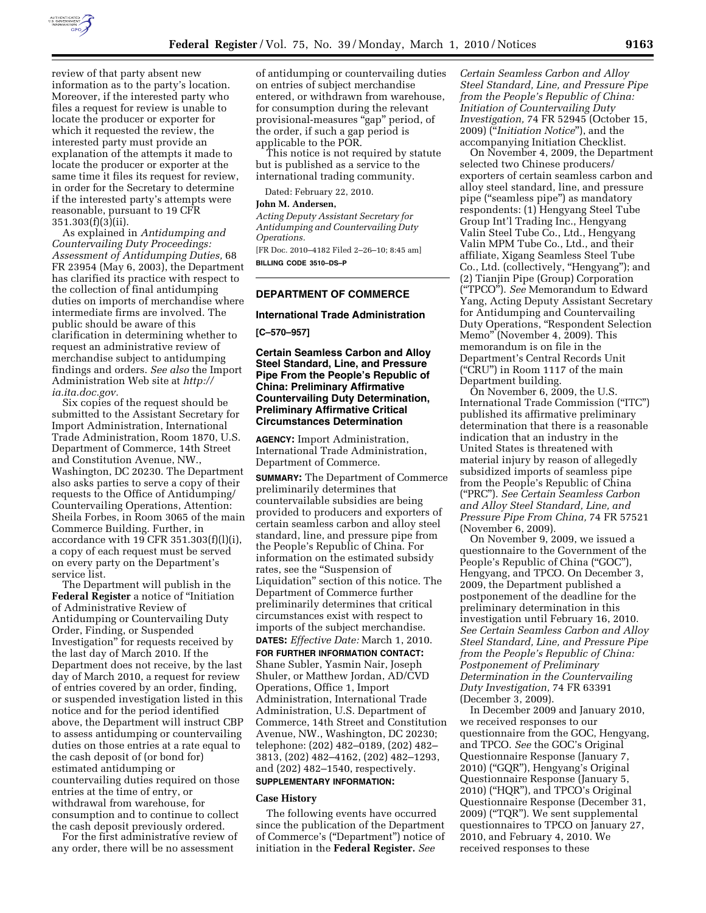

review of that party absent new information as to the party's location. Moreover, if the interested party who files a request for review is unable to locate the producer or exporter for which it requested the review, the interested party must provide an explanation of the attempts it made to locate the producer or exporter at the same time it files its request for review, in order for the Secretary to determine if the interested party's attempts were reasonable, pursuant to 19 CFR 351.303(f)(3)(ii).

As explained in *Antidumping and Countervailing Duty Proceedings: Assessment of Antidumping Duties,* 68 FR 23954 (May 6, 2003), the Department has clarified its practice with respect to the collection of final antidumping duties on imports of merchandise where intermediate firms are involved. The public should be aware of this clarification in determining whether to request an administrative review of merchandise subject to antidumping findings and orders. *See also* the Import Administration Web site at *http:// ia.ita.doc.gov.* 

Six copies of the request should be submitted to the Assistant Secretary for Import Administration, International Trade Administration, Room 1870, U.S. Department of Commerce, 14th Street and Constitution Avenue, NW., Washington, DC 20230. The Department also asks parties to serve a copy of their requests to the Office of Antidumping/ Countervailing Operations, Attention: Sheila Forbes, in Room 3065 of the main Commerce Building. Further, in accordance with 19 CFR 351.303(f)(l)(i), a copy of each request must be served on every party on the Department's service list.

The Department will publish in the **Federal Register** a notice of ''Initiation of Administrative Review of Antidumping or Countervailing Duty Order, Finding, or Suspended Investigation'' for requests received by the last day of March 2010. If the Department does not receive, by the last day of March 2010, a request for review of entries covered by an order, finding, or suspended investigation listed in this notice and for the period identified above, the Department will instruct CBP to assess antidumping or countervailing duties on those entries at a rate equal to the cash deposit of (or bond for) estimated antidumping or countervailing duties required on those entries at the time of entry, or withdrawal from warehouse, for consumption and to continue to collect the cash deposit previously ordered.

For the first administrative review of any order, there will be no assessment

of antidumping or countervailing duties on entries of subject merchandise entered, or withdrawn from warehouse, for consumption during the relevant provisional-measures ''gap'' period, of the order, if such a gap period is applicable to the POR.

This notice is not required by statute but is published as a service to the international trading community.

Dated: February 22, 2010.

#### **John M. Andersen,**

*Acting Deputy Assistant Secretary for Antidumping and Countervailing Duty Operations.* 

[FR Doc. 2010–4182 Filed 2–26–10; 8:45 am] **BILLING CODE 3510–DS–P** 

## **DEPARTMENT OF COMMERCE**

#### **International Trade Administration**

**[C–570–957]** 

## **Certain Seamless Carbon and Alloy Steel Standard, Line, and Pressure Pipe From the People's Republic of China: Preliminary Affirmative Countervailing Duty Determination, Preliminary Affirmative Critical Circumstances Determination**

**AGENCY:** Import Administration, International Trade Administration, Department of Commerce.

**SUMMARY:** The Department of Commerce preliminarily determines that countervailable subsidies are being provided to producers and exporters of certain seamless carbon and alloy steel standard, line, and pressure pipe from the People's Republic of China. For information on the estimated subsidy rates, see the ''Suspension of Liquidation'' section of this notice. The Department of Commerce further preliminarily determines that critical circumstances exist with respect to imports of the subject merchandise. **DATES:** *Effective Date:* March 1, 2010.

**FOR FURTHER INFORMATION CONTACT:**  Shane Subler, Yasmin Nair, Joseph Shuler, or Matthew Jordan, AD/CVD Operations, Office 1, Import Administration, International Trade Administration, U.S. Department of Commerce, 14th Street and Constitution Avenue, NW., Washington, DC 20230; telephone: (202) 482–0189, (202) 482– 3813, (202) 482–4162, (202) 482–1293, and (202) 482–1540, respectively. **SUPPLEMENTARY INFORMATION:** 

# **Case History**

The following events have occurred since the publication of the Department of Commerce's (''Department'') notice of initiation in the **Federal Register.** *See* 

*Certain Seamless Carbon and Alloy Steel Standard, Line, and Pressure Pipe from the People's Republic of China: Initiation of Countervailing Duty Investigation,* 74 FR 52945 (October 15, 2009) (''*Initiation Notice*''), and the accompanying Initiation Checklist.

On November 4, 2009, the Department selected two Chinese producers/ exporters of certain seamless carbon and alloy steel standard, line, and pressure pipe (''seamless pipe'') as mandatory respondents: (1) Hengyang Steel Tube Group Int'l Trading Inc., Hengyang Valin Steel Tube Co., Ltd., Hengyang Valin MPM Tube Co., Ltd., and their affiliate, Xigang Seamless Steel Tube Co., Ltd. (collectively, ''Hengyang''); and (2) Tianjin Pipe (Group) Corporation (''TPCO''). *See* Memorandum to Edward Yang, Acting Deputy Assistant Secretary for Antidumping and Countervailing Duty Operations, ''Respondent Selection Memo'' (November 4, 2009). This memorandum is on file in the Department's Central Records Unit (''CRU'') in Room 1117 of the main Department building.

On November 6, 2009, the U.S. International Trade Commission (''ITC'') published its affirmative preliminary determination that there is a reasonable indication that an industry in the United States is threatened with material injury by reason of allegedly subsidized imports of seamless pipe from the People's Republic of China (''PRC''). *See Certain Seamless Carbon and Alloy Steel Standard, Line, and Pressure Pipe From China,* 74 FR 57521 (November 6, 2009).

On November 9, 2009, we issued a questionnaire to the Government of the People's Republic of China ("GOC"), Hengyang, and TPCO. On December 3, 2009, the Department published a postponement of the deadline for the preliminary determination in this investigation until February 16, 2010. *See Certain Seamless Carbon and Alloy Steel Standard, Line, and Pressure Pipe from the People's Republic of China: Postponement of Preliminary Determination in the Countervailing Duty Investigation,* 74 FR 63391 (December 3, 2009).

In December 2009 and January 2010, we received responses to our questionnaire from the GOC, Hengyang, and TPCO. *See* the GOC's Original Questionnaire Response (January 7, 2010) (''GQR''), Hengyang's Original Questionnaire Response (January 5, 2010) (''HQR''), and TPCO's Original Questionnaire Response (December 31, 2009) (''TQR''). We sent supplemental questionnaires to TPCO on January 27, 2010, and February 4, 2010. We received responses to these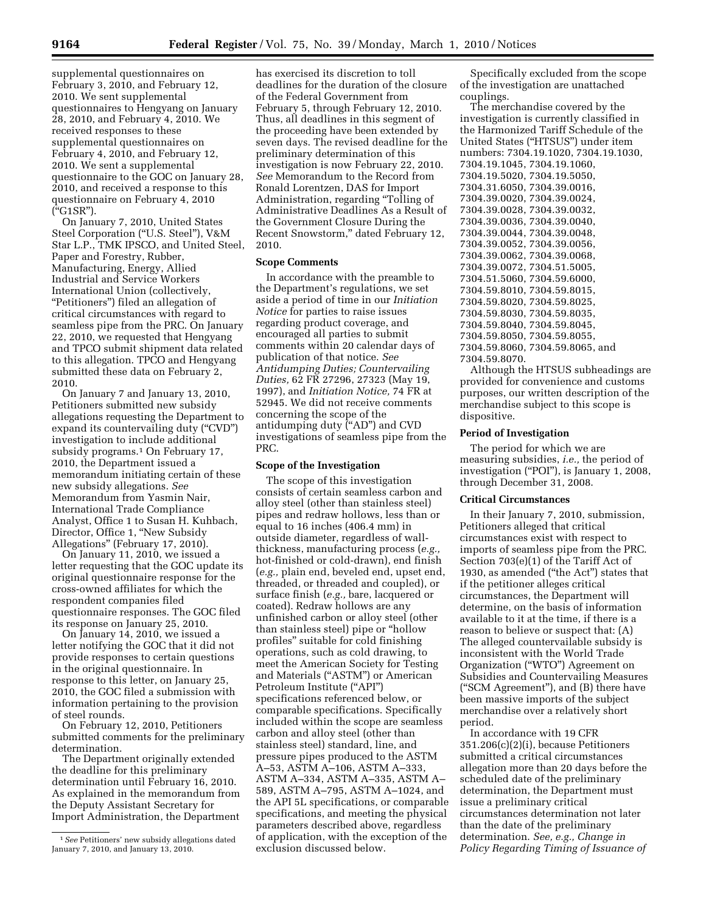supplemental questionnaires on February 3, 2010, and February 12, 2010. We sent supplemental questionnaires to Hengyang on January 28, 2010, and February 4, 2010. We received responses to these supplemental questionnaires on February 4, 2010, and February 12, 2010. We sent a supplemental questionnaire to the GOC on January 28, 2010, and received a response to this questionnaire on February 4, 2010 (''G1SR'').

On January 7, 2010, United States Steel Corporation (''U.S. Steel''), V&M Star L.P., TMK IPSCO, and United Steel, Paper and Forestry, Rubber, Manufacturing, Energy, Allied Industrial and Service Workers International Union (collectively, "Petitioners") filed an allegation of critical circumstances with regard to seamless pipe from the PRC. On January 22, 2010, we requested that Hengyang and TPCO submit shipment data related to this allegation. TPCO and Hengyang submitted these data on February 2, 2010.

On January 7 and January 13, 2010, Petitioners submitted new subsidy allegations requesting the Department to expand its countervailing duty ("CVD") investigation to include additional subsidy programs.<sup>1</sup> On February 17, 2010, the Department issued a memorandum initiating certain of these new subsidy allegations. *See*  Memorandum from Yasmin Nair, International Trade Compliance Analyst, Office 1 to Susan H. Kuhbach, Director, Office 1, ''New Subsidy Allegations'' (February 17, 2010).

On January 11, 2010, we issued a letter requesting that the GOC update its original questionnaire response for the cross-owned affiliates for which the respondent companies filed questionnaire responses. The GOC filed its response on January 25, 2010.

On January 14, 2010, we issued a letter notifying the GOC that it did not provide responses to certain questions in the original questionnaire. In response to this letter, on January 25, 2010, the GOC filed a submission with information pertaining to the provision of steel rounds.

On February 12, 2010, Petitioners submitted comments for the preliminary determination.

The Department originally extended the deadline for this preliminary determination until February 16, 2010. As explained in the memorandum from the Deputy Assistant Secretary for Import Administration, the Department

has exercised its discretion to toll deadlines for the duration of the closure of the Federal Government from February 5, through February 12, 2010. Thus, all deadlines in this segment of the proceeding have been extended by seven days. The revised deadline for the preliminary determination of this investigation is now February 22, 2010. *See* Memorandum to the Record from Ronald Lorentzen, DAS for Import Administration, regarding ''Tolling of Administrative Deadlines As a Result of the Government Closure During the Recent Snowstorm,'' dated February 12, 2010.

### **Scope Comments**

In accordance with the preamble to the Department's regulations, we set aside a period of time in our *Initiation Notice* for parties to raise issues regarding product coverage, and encouraged all parties to submit comments within 20 calendar days of publication of that notice. *See Antidumping Duties; Countervailing Duties,* 62 FR 27296, 27323 (May 19, 1997), and *Initiation Notice,* 74 FR at 52945. We did not receive comments concerning the scope of the antidumping duty (''AD'') and CVD investigations of seamless pipe from the PRC.

#### **Scope of the Investigation**

The scope of this investigation consists of certain seamless carbon and alloy steel (other than stainless steel) pipes and redraw hollows, less than or equal to 16 inches (406.4 mm) in outside diameter, regardless of wallthickness, manufacturing process (*e.g.,*  hot-finished or cold-drawn), end finish (*e.g.,* plain end, beveled end, upset end, threaded, or threaded and coupled), or surface finish (*e.g.,* bare, lacquered or coated). Redraw hollows are any unfinished carbon or alloy steel (other than stainless steel) pipe or ''hollow profiles'' suitable for cold finishing operations, such as cold drawing, to meet the American Society for Testing and Materials (''ASTM'') or American Petroleum Institute ("API") specifications referenced below, or comparable specifications. Specifically included within the scope are seamless carbon and alloy steel (other than stainless steel) standard, line, and pressure pipes produced to the ASTM A–53, ASTM A–106, ASTM A–333, ASTM A–334, ASTM A–335, ASTM A– 589, ASTM A–795, ASTM A–1024, and the API 5L specifications, or comparable specifications, and meeting the physical parameters described above, regardless of application, with the exception of the exclusion discussed below.

Specifically excluded from the scope of the investigation are unattached couplings.

The merchandise covered by the investigation is currently classified in the Harmonized Tariff Schedule of the United States (''HTSUS'') under item numbers: 7304.19.1020, 7304.19.1030, 7304.19.1045, 7304.19.1060, 7304.19.5020, 7304.19.5050, 7304.31.6050, 7304.39.0016, 7304.39.0020, 7304.39.0024, 7304.39.0028, 7304.39.0032, 7304.39.0036, 7304.39.0040, 7304.39.0044, 7304.39.0048, 7304.39.0052, 7304.39.0056, 7304.39.0062, 7304.39.0068, 7304.39.0072, 7304.51.5005, 7304.51.5060, 7304.59.6000, 7304.59.8010, 7304.59.8015, 7304.59.8020, 7304.59.8025, 7304.59.8030, 7304.59.8035, 7304.59.8040, 7304.59.8045, 7304.59.8050, 7304.59.8055, 7304.59.8060, 7304.59.8065, and 7304.59.8070.

Although the HTSUS subheadings are provided for convenience and customs purposes, our written description of the merchandise subject to this scope is dispositive.

#### **Period of Investigation**

The period for which we are measuring subsidies, *i.e.,* the period of investigation (''POI''), is January 1, 2008, through December 31, 2008.

#### **Critical Circumstances**

In their January 7, 2010, submission, Petitioners alleged that critical circumstances exist with respect to imports of seamless pipe from the PRC. Section 703(e)(1) of the Tariff Act of 1930, as amended ("the Act") states that if the petitioner alleges critical circumstances, the Department will determine, on the basis of information available to it at the time, if there is a reason to believe or suspect that: (A) The alleged countervailable subsidy is inconsistent with the World Trade Organization (''WTO'') Agreement on Subsidies and Countervailing Measures (''SCM Agreement''), and (B) there have been massive imports of the subject merchandise over a relatively short period.

In accordance with 19 CFR 351.206(c)(2)(i), because Petitioners submitted a critical circumstances allegation more than 20 days before the scheduled date of the preliminary determination, the Department must issue a preliminary critical circumstances determination not later than the date of the preliminary determination. *See, e.g., Change in Policy Regarding Timing of Issuance of* 

<sup>1</sup>*See* Petitioners' new subsidy allegations dated January 7, 2010, and January 13, 2010.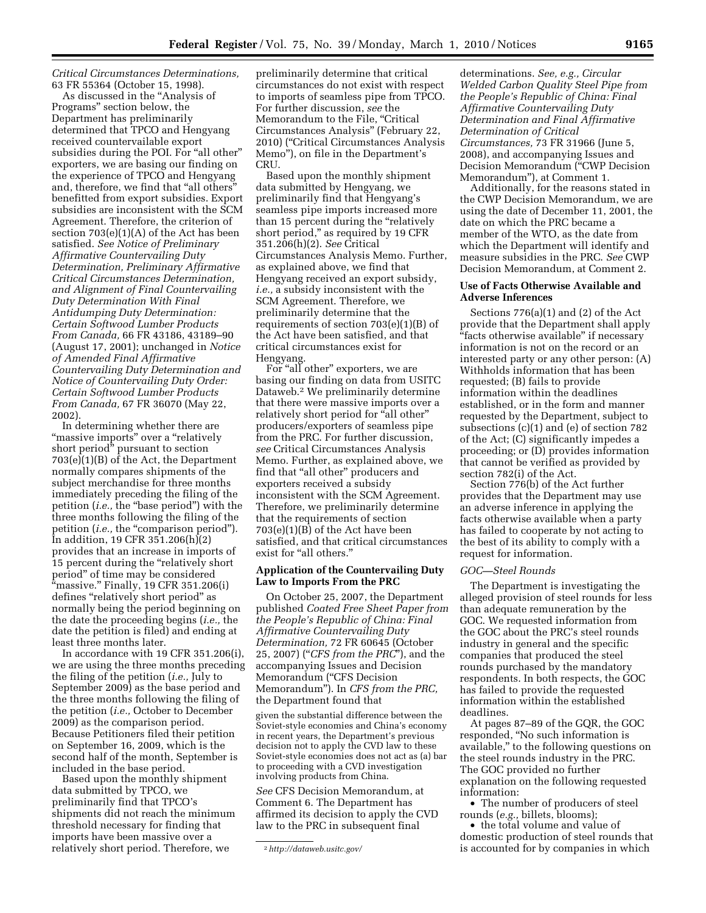*Critical Circumstances Determinations,*  63 FR 55364 (October 15, 1998).

As discussed in the ''Analysis of Programs'' section below, the Department has preliminarily determined that TPCO and Hengyang received countervailable export subsidies during the POI. For "all other" exporters, we are basing our finding on the experience of TPCO and Hengyang and, therefore, we find that "all others' benefitted from export subsidies. Export subsidies are inconsistent with the SCM Agreement. Therefore, the criterion of section 703(e)(1)(A) of the Act has been satisfied. *See Notice of Preliminary Affirmative Countervailing Duty Determination, Preliminary Affirmative Critical Circumstances Determination, and Alignment of Final Countervailing Duty Determination With Final Antidumping Duty Determination: Certain Softwood Lumber Products From Canada,* 66 FR 43186, 43189–90 (August 17, 2001); unchanged in *Notice of Amended Final Affirmative Countervailing Duty Determination and Notice of Countervailing Duty Order: Certain Softwood Lumber Products From Canada,* 67 FR 36070 (May 22, 2002).

In determining whether there are "massive imports" over a "relatively short period'' pursuant to section 703(e)(1)(B) of the Act, the Department normally compares shipments of the subject merchandise for three months immediately preceding the filing of the petition (*i.e.*, the "base period") with the three months following the filing of the petition (*i.e.*, the "comparison period"). In addition, 19 CFR 351.206(h)(2) provides that an increase in imports of 15 percent during the ''relatively short period'' of time may be considered "massive." Finally, 19 CFR 351.206(i) defines ''relatively short period'' as normally being the period beginning on the date the proceeding begins (*i.e.,* the date the petition is filed) and ending at least three months later.

In accordance with 19 CFR 351.206(i), we are using the three months preceding the filing of the petition (*i.e.,* July to September 2009) as the base period and the three months following the filing of the petition (*i.e.,* October to December 2009) as the comparison period. Because Petitioners filed their petition on September 16, 2009, which is the second half of the month, September is included in the base period.

Based upon the monthly shipment data submitted by TPCO, we preliminarily find that TPCO's shipments did not reach the minimum threshold necessary for finding that imports have been massive over a relatively short period. Therefore, we

preliminarily determine that critical circumstances do not exist with respect to imports of seamless pipe from TPCO. For further discussion, *see* the Memorandum to the File, "Critical Circumstances Analysis'' (February 22, 2010) (''Critical Circumstances Analysis Memo''), on file in the Department's CRU.

Based upon the monthly shipment data submitted by Hengyang, we preliminarily find that Hengyang's seamless pipe imports increased more than 15 percent during the "relatively short period," as required by 19 CFR 351.206(h)(2). *See* Critical Circumstances Analysis Memo. Further, as explained above, we find that Hengyang received an export subsidy, *i.e.,* a subsidy inconsistent with the SCM Agreement. Therefore, we preliminarily determine that the requirements of section 703(e)(1)(B) of the Act have been satisfied, and that critical circumstances exist for Hengyang.

For "all other" exporters, we are basing our finding on data from USITC Dataweb.2 We preliminarily determine that there were massive imports over a relatively short period for "all other" producers/exporters of seamless pipe from the PRC. For further discussion, *see* Critical Circumstances Analysis Memo. Further, as explained above, we find that "all other" producers and exporters received a subsidy inconsistent with the SCM Agreement. Therefore, we preliminarily determine that the requirements of section 703(e)(1)(B) of the Act have been satisfied, and that critical circumstances exist for "all others."

## **Application of the Countervailing Duty Law to Imports From the PRC**

On October 25, 2007, the Department published *Coated Free Sheet Paper from the People's Republic of China: Final Affirmative Countervailing Duty Determination,* 72 FR 60645 (October 25, 2007) (''*CFS from the PRC*''), and the accompanying Issues and Decision Memorandum (''CFS Decision Memorandum''). In *CFS from the PRC,*  the Department found that

given the substantial difference between the Soviet-style economies and China's economy in recent years, the Department's previous decision not to apply the CVD law to these Soviet-style economies does not act as (a) bar to proceeding with a CVD investigation involving products from China.

*See* CFS Decision Memorandum, at Comment 6. The Department has affirmed its decision to apply the CVD law to the PRC in subsequent final

determinations. *See, e.g., Circular Welded Carbon Quality Steel Pipe from the People's Republic of China: Final Affirmative Countervailing Duty Determination and Final Affirmative Determination of Critical Circumstances,* 73 FR 31966 (June 5, 2008), and accompanying Issues and Decision Memorandum (''CWP Decision Memorandum''), at Comment 1.

Additionally, for the reasons stated in the CWP Decision Memorandum, we are using the date of December 11, 2001, the date on which the PRC became a member of the WTO, as the date from which the Department will identify and measure subsidies in the PRC. *See* CWP Decision Memorandum, at Comment 2.

## **Use of Facts Otherwise Available and Adverse Inferences**

Sections 776(a)(1) and (2) of the Act provide that the Department shall apply "facts otherwise available" if necessary information is not on the record or an interested party or any other person: (A) Withholds information that has been requested; (B) fails to provide information within the deadlines established, or in the form and manner requested by the Department, subject to subsections (c)(1) and (e) of section 782 of the Act; (C) significantly impedes a proceeding; or (D) provides information that cannot be verified as provided by section 782(i) of the Act.

Section 776(b) of the Act further provides that the Department may use an adverse inference in applying the facts otherwise available when a party has failed to cooperate by not acting to the best of its ability to comply with a request for information.

## *GOC—Steel Rounds*

The Department is investigating the alleged provision of steel rounds for less than adequate remuneration by the GOC. We requested information from the GOC about the PRC's steel rounds industry in general and the specific companies that produced the steel rounds purchased by the mandatory respondents. In both respects, the GOC has failed to provide the requested information within the established deadlines.

At pages 87–89 of the GQR, the GOC responded, ''No such information is available,'' to the following questions on the steel rounds industry in the PRC. The GOC provided no further explanation on the following requested information:

• The number of producers of steel rounds (*e.g.,* billets, blooms);

• the total volume and value of domestic production of steel rounds that is accounted for by companies in which

<sup>2</sup>*http://dataweb.usitc.gov/*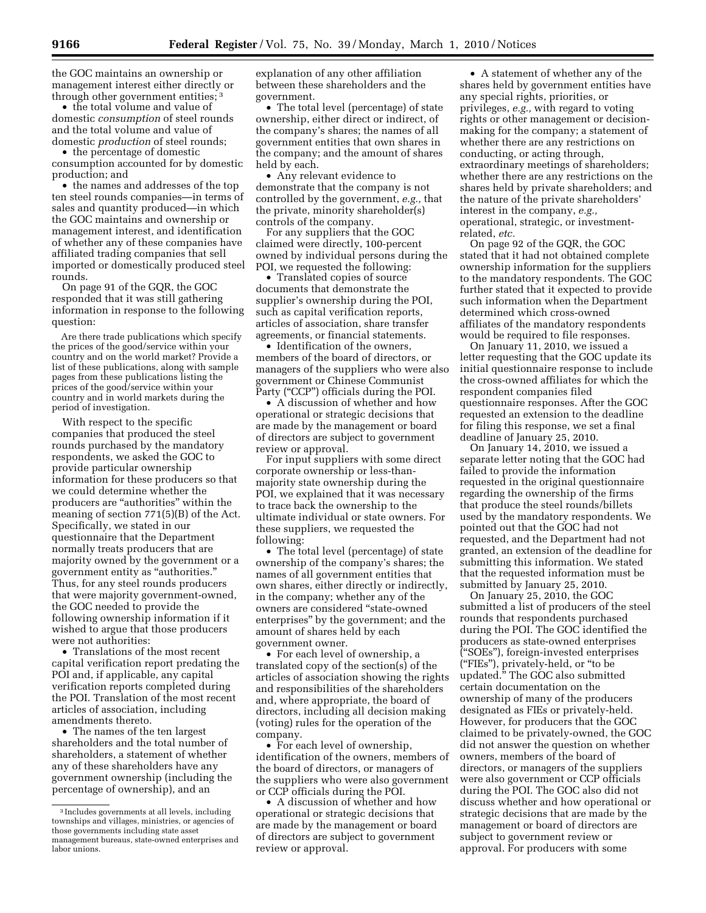the GOC maintains an ownership or management interest either directly or through other government entities; 3

• the total volume and value of domestic *consumption* of steel rounds and the total volume and value of domestic *production* of steel rounds;

• the percentage of domestic consumption accounted for by domestic production; and

• the names and addresses of the top ten steel rounds companies—in terms of sales and quantity produced—in which the GOC maintains and ownership or management interest, and identification of whether any of these companies have affiliated trading companies that sell imported or domestically produced steel rounds.

On page 91 of the GQR, the GOC responded that it was still gathering information in response to the following question:

Are there trade publications which specify the prices of the good/service within your country and on the world market? Provide a list of these publications, along with sample pages from these publications listing the prices of the good/service within your country and in world markets during the period of investigation.

With respect to the specific companies that produced the steel rounds purchased by the mandatory respondents, we asked the GOC to provide particular ownership information for these producers so that we could determine whether the producers are ''authorities'' within the meaning of section 771(5)(B) of the Act. Specifically, we stated in our questionnaire that the Department normally treats producers that are majority owned by the government or a government entity as ''authorities.'' Thus, for any steel rounds producers that were majority government-owned, the GOC needed to provide the following ownership information if it wished to argue that those producers were not authorities:

• Translations of the most recent capital verification report predating the POI and, if applicable, any capital verification reports completed during the POI. Translation of the most recent articles of association, including amendments thereto.

• The names of the ten largest shareholders and the total number of shareholders, a statement of whether any of these shareholders have any government ownership (including the percentage of ownership), and an

explanation of any other affiliation between these shareholders and the government.

• The total level (percentage) of state ownership, either direct or indirect, of the company's shares; the names of all government entities that own shares in the company; and the amount of shares held by each.

• Any relevant evidence to demonstrate that the company is not controlled by the government, *e.g.,* that the private, minority shareholder(s) controls of the company.

For any suppliers that the GOC claimed were directly, 100-percent owned by individual persons during the POI, we requested the following:

• Translated copies of source documents that demonstrate the supplier's ownership during the POI, such as capital verification reports, articles of association, share transfer agreements, or financial statements.

• Identification of the owners, members of the board of directors, or managers of the suppliers who were also government or Chinese Communist Party ("CCP") officials during the POI.

• A discussion of whether and how operational or strategic decisions that are made by the management or board of directors are subject to government review or approval.

For input suppliers with some direct corporate ownership or less-thanmajority state ownership during the POI, we explained that it was necessary to trace back the ownership to the ultimate individual or state owners. For these suppliers, we requested the following:

• The total level (percentage) of state ownership of the company's shares; the names of all government entities that own shares, either directly or indirectly, in the company; whether any of the owners are considered ''state-owned enterprises'' by the government; and the amount of shares held by each government owner.

• For each level of ownership, a translated copy of the section(s) of the articles of association showing the rights and responsibilities of the shareholders and, where appropriate, the board of directors, including all decision making (voting) rules for the operation of the company.

• For each level of ownership, identification of the owners, members of the board of directors, or managers of the suppliers who were also government or CCP officials during the POI.

• A discussion of whether and how operational or strategic decisions that are made by the management or board of directors are subject to government review or approval.

• A statement of whether any of the shares held by government entities have any special rights, priorities, or privileges, *e.g.,* with regard to voting rights or other management or decisionmaking for the company; a statement of whether there are any restrictions on conducting, or acting through, extraordinary meetings of shareholders; whether there are any restrictions on the shares held by private shareholders; and the nature of the private shareholders' interest in the company, *e.g.,*  operational, strategic, or investmentrelated, *etc.* 

On page 92 of the GQR, the GOC stated that it had not obtained complete ownership information for the suppliers to the mandatory respondents. The GOC further stated that it expected to provide such information when the Department determined which cross-owned affiliates of the mandatory respondents would be required to file responses.

On January 11, 2010, we issued a letter requesting that the GOC update its initial questionnaire response to include the cross-owned affiliates for which the respondent companies filed questionnaire responses. After the GOC requested an extension to the deadline for filing this response, we set a final deadline of January 25, 2010.

On January 14, 2010, we issued a separate letter noting that the GOC had failed to provide the information requested in the original questionnaire regarding the ownership of the firms that produce the steel rounds/billets used by the mandatory respondents. We pointed out that the GOC had not requested, and the Department had not granted, an extension of the deadline for submitting this information. We stated that the requested information must be submitted by January 25, 2010.

On January 25, 2010, the GOC submitted a list of producers of the steel rounds that respondents purchased during the POI. The GOC identified the producers as state-owned enterprises (''SOEs''), foreign-invested enterprises (''FIEs''), privately-held, or ''to be updated.'' The GOC also submitted certain documentation on the ownership of many of the producers designated as FIEs or privately-held. However, for producers that the GOC claimed to be privately-owned, the GOC did not answer the question on whether owners, members of the board of directors, or managers of the suppliers were also government or CCP officials during the POI. The GOC also did not discuss whether and how operational or strategic decisions that are made by the management or board of directors are subject to government review or approval. For producers with some

<sup>3</sup> Includes governments at all levels, including townships and villages, ministries, or agencies of those governments including state asset management bureaus, state-owned enterprises and labor unions.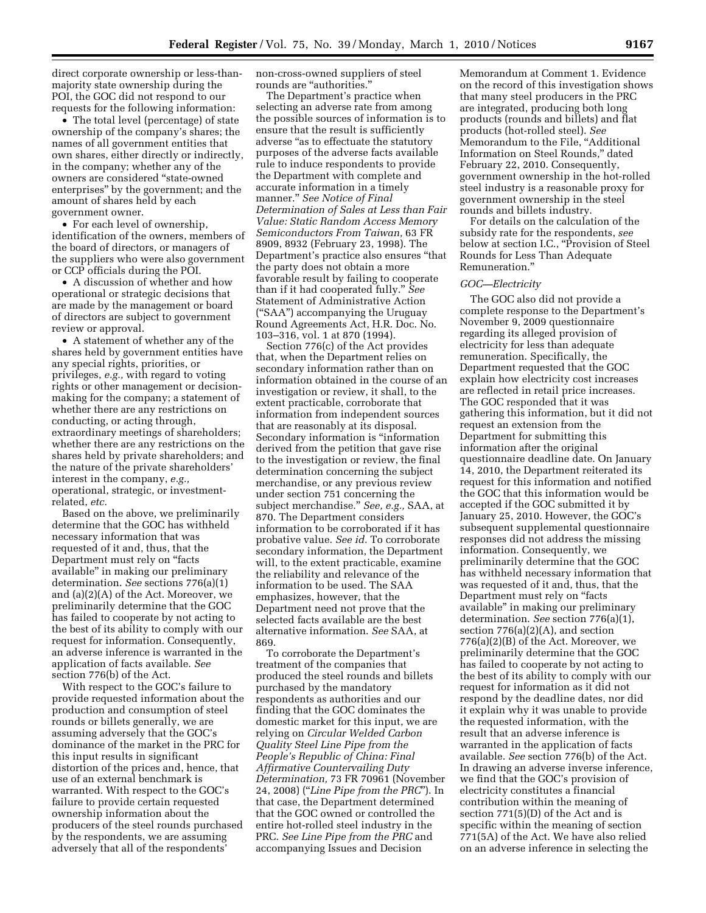direct corporate ownership or less-thanmajority state ownership during the POI, the GOC did not respond to our requests for the following information:

• The total level (percentage) of state ownership of the company's shares; the names of all government entities that own shares, either directly or indirectly, in the company; whether any of the owners are considered ''state-owned enterprises'' by the government; and the amount of shares held by each government owner.

• For each level of ownership, identification of the owners, members of the board of directors, or managers of the suppliers who were also government or CCP officials during the POI.

• A discussion of whether and how operational or strategic decisions that are made by the management or board of directors are subject to government review or approval.

• A statement of whether any of the shares held by government entities have any special rights, priorities, or privileges, *e.g.,* with regard to voting rights or other management or decisionmaking for the company; a statement of whether there are any restrictions on conducting, or acting through, extraordinary meetings of shareholders; whether there are any restrictions on the shares held by private shareholders; and the nature of the private shareholders' interest in the company, *e.g.,*  operational, strategic, or investmentrelated, *etc.* 

Based on the above, we preliminarily determine that the GOC has withheld necessary information that was requested of it and, thus, that the Department must rely on ''facts available'' in making our preliminary determination. *See* sections 776(a)(1) and (a)(2)(A) of the Act. Moreover, we preliminarily determine that the GOC has failed to cooperate by not acting to the best of its ability to comply with our request for information. Consequently, an adverse inference is warranted in the application of facts available. *See*  section 776(b) of the Act.

With respect to the GOC's failure to provide requested information about the production and consumption of steel rounds or billets generally, we are assuming adversely that the GOC's dominance of the market in the PRC for this input results in significant distortion of the prices and, hence, that use of an external benchmark is warranted. With respect to the GOC's failure to provide certain requested ownership information about the producers of the steel rounds purchased by the respondents, we are assuming adversely that all of the respondents'

non-cross-owned suppliers of steel rounds are "authorities."

The Department's practice when selecting an adverse rate from among the possible sources of information is to ensure that the result is sufficiently adverse "as to effectuate the statutory purposes of the adverse facts available rule to induce respondents to provide the Department with complete and accurate information in a timely manner.'' *See Notice of Final Determination of Sales at Less than Fair Value: Static Random Access Memory Semiconductors From Taiwan,* 63 FR 8909, 8932 (February 23, 1998). The Department's practice also ensures ''that the party does not obtain a more favorable result by failing to cooperate than if it had cooperated fully.'' *See*  Statement of Administrative Action (''SAA'') accompanying the Uruguay Round Agreements Act, H.R. Doc. No. 103–316, vol. 1 at 870 (1994).

Section 776(c) of the Act provides that, when the Department relies on secondary information rather than on information obtained in the course of an investigation or review, it shall, to the extent practicable, corroborate that information from independent sources that are reasonably at its disposal. Secondary information is ''information derived from the petition that gave rise to the investigation or review, the final determination concerning the subject merchandise, or any previous review under section 751 concerning the subject merchandise.'' *See, e.g.,* SAA, at 870. The Department considers information to be corroborated if it has probative value. *See id.* To corroborate secondary information, the Department will, to the extent practicable, examine the reliability and relevance of the information to be used. The SAA emphasizes, however, that the Department need not prove that the selected facts available are the best alternative information. *See* SAA, at 869.

To corroborate the Department's treatment of the companies that produced the steel rounds and billets purchased by the mandatory respondents as authorities and our finding that the GOC dominates the domestic market for this input, we are relying on *Circular Welded Carbon Quality Steel Line Pipe from the People's Republic of China: Final Affirmative Countervailing Duty Determination,* 73 FR 70961 (November 24, 2008) (''*Line Pipe from the PRC*''). In that case, the Department determined that the GOC owned or controlled the entire hot-rolled steel industry in the PRC. *See Line Pipe from the PRC* and accompanying Issues and Decision

Memorandum at Comment 1. Evidence on the record of this investigation shows that many steel producers in the PRC are integrated, producing both long products (rounds and billets) and flat products (hot-rolled steel). *See*  Memorandum to the File, ''Additional Information on Steel Rounds,'' dated February 22, 2010. Consequently, government ownership in the hot-rolled steel industry is a reasonable proxy for government ownership in the steel rounds and billets industry.

For details on the calculation of the subsidy rate for the respondents, *see*  below at section I.C., "Provision of Steel Rounds for Less Than Adequate Remuneration.''

## *GOC—Electricity*

The GOC also did not provide a complete response to the Department's November 9, 2009 questionnaire regarding its alleged provision of electricity for less than adequate remuneration. Specifically, the Department requested that the GOC explain how electricity cost increases are reflected in retail price increases. The GOC responded that it was gathering this information, but it did not request an extension from the Department for submitting this information after the original questionnaire deadline date. On January 14, 2010, the Department reiterated its request for this information and notified the GOC that this information would be accepted if the GOC submitted it by January 25, 2010. However, the GOC's subsequent supplemental questionnaire responses did not address the missing information. Consequently, we preliminarily determine that the GOC has withheld necessary information that was requested of it and, thus, that the Department must rely on ''facts available'' in making our preliminary determination. *See* section 776(a)(1), section 776(a)(2)(A), and section 776(a)(2)(B) of the Act. Moreover, we preliminarily determine that the GOC has failed to cooperate by not acting to the best of its ability to comply with our request for information as it did not respond by the deadline dates, nor did it explain why it was unable to provide the requested information, with the result that an adverse inference is warranted in the application of facts available. *See* section 776(b) of the Act. In drawing an adverse inverse inference, we find that the GOC's provision of electricity constitutes a financial contribution within the meaning of section 771(5)(D) of the Act and is specific within the meaning of section 771(5A) of the Act. We have also relied on an adverse inference in selecting the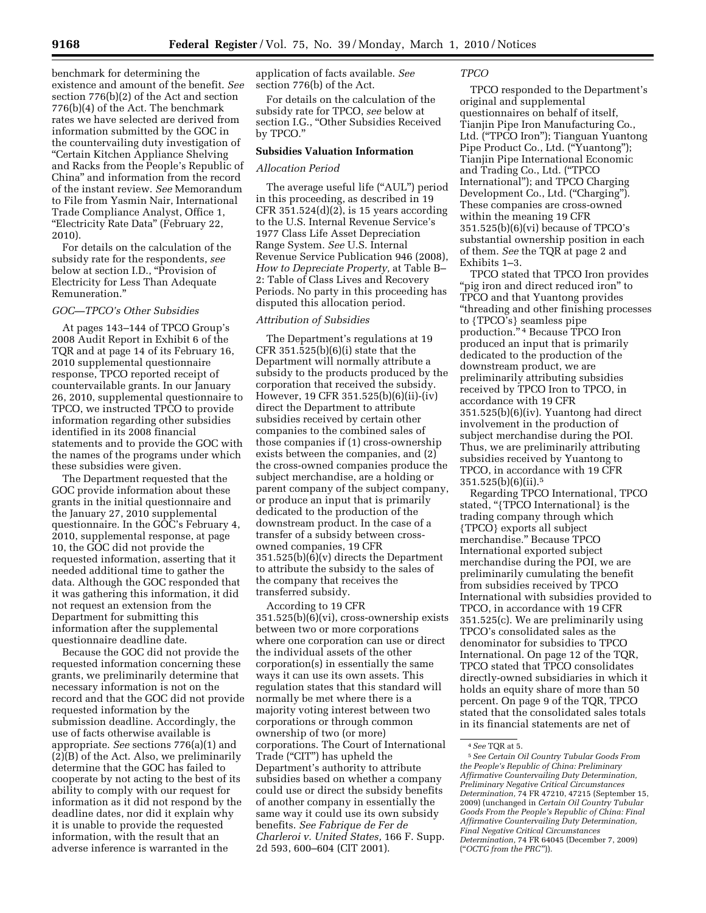benchmark for determining the existence and amount of the benefit. *See*  section 776(b)(2) of the Act and section 776(b)(4) of the Act. The benchmark rates we have selected are derived from information submitted by the GOC in the countervailing duty investigation of ''Certain Kitchen Appliance Shelving and Racks from the People's Republic of China'' and information from the record of the instant review. *See* Memorandum to File from Yasmin Nair, International Trade Compliance Analyst, Office 1, "Electricity Rate Data" (February 22, 2010).

For details on the calculation of the subsidy rate for the respondents, *see*  below at section I.D., "Provision of Electricity for Less Than Adequate Remuneration.''

# *GOC—TPCO's Other Subsidies*

At pages 143–144 of TPCO Group's 2008 Audit Report in Exhibit 6 of the TQR and at page 14 of its February 16, 2010 supplemental questionnaire response, TPCO reported receipt of countervailable grants. In our January 26, 2010, supplemental questionnaire to TPCO, we instructed TPCO to provide information regarding other subsidies identified in its 2008 financial statements and to provide the GOC with the names of the programs under which these subsidies were given.

The Department requested that the GOC provide information about these grants in the initial questionnaire and the January 27, 2010 supplemental questionnaire. In the GOC's February 4, 2010, supplemental response, at page 10, the GOC did not provide the requested information, asserting that it needed additional time to gather the data. Although the GOC responded that it was gathering this information, it did not request an extension from the Department for submitting this information after the supplemental questionnaire deadline date.

Because the GOC did not provide the requested information concerning these grants, we preliminarily determine that necessary information is not on the record and that the GOC did not provide requested information by the submission deadline. Accordingly, the use of facts otherwise available is appropriate. *See* sections 776(a)(1) and (2)(B) of the Act. Also, we preliminarily determine that the GOC has failed to cooperate by not acting to the best of its ability to comply with our request for information as it did not respond by the deadline dates, nor did it explain why it is unable to provide the requested information, with the result that an adverse inference is warranted in the

application of facts available. *See*  section 776(b) of the Act.

For details on the calculation of the subsidy rate for TPCO, *see* below at section I.G., ''Other Subsidies Received by TPCO.''

## **Subsidies Valuation Information**

#### *Allocation Period*

The average useful life ("AUL") period in this proceeding, as described in 19 CFR  $351.524(d)(2)$ , is 15 years according to the U.S. Internal Revenue Service's 1977 Class Life Asset Depreciation Range System. *See* U.S. Internal Revenue Service Publication 946 (2008), *How to Depreciate Property,* at Table B– 2: Table of Class Lives and Recovery Periods. No party in this proceeding has disputed this allocation period.

#### *Attribution of Subsidies*

The Department's regulations at 19 CFR  $351.525(b)(6)(i)$  state that the Department will normally attribute a subsidy to the products produced by the corporation that received the subsidy. However, 19 CFR 351.525(b)(6)(ii)-(iv) direct the Department to attribute subsidies received by certain other companies to the combined sales of those companies if (1) cross-ownership exists between the companies, and (2) the cross-owned companies produce the subject merchandise, are a holding or parent company of the subject company, or produce an input that is primarily dedicated to the production of the downstream product. In the case of a transfer of a subsidy between crossowned companies, 19 CFR 351.525(b)(6)(v) directs the Department to attribute the subsidy to the sales of the company that receives the transferred subsidy.

According to 19 CFR 351.525(b)(6)(vi), cross-ownership exists between two or more corporations where one corporation can use or direct the individual assets of the other corporation(s) in essentially the same ways it can use its own assets. This regulation states that this standard will normally be met where there is a majority voting interest between two corporations or through common ownership of two (or more) corporations. The Court of International Trade (''CIT'') has upheld the Department's authority to attribute subsidies based on whether a company could use or direct the subsidy benefits of another company in essentially the same way it could use its own subsidy benefits. *See Fabrique de Fer de Charleroi v. United States,* 166 F. Supp. 2d 593, 600–604 (CIT 2001).

## *TPCO*

TPCO responded to the Department's original and supplemental questionnaires on behalf of itself, Tianjin Pipe Iron Manufacturing Co., Ltd. (''TPCO Iron''); Tianguan Yuantong Pipe Product Co., Ltd. (''Yuantong''); Tianjin Pipe International Economic and Trading Co., Ltd. (''TPCO International''); and TPCO Charging Development Co., Ltd. ("Charging"). These companies are cross-owned within the meaning 19 CFR 351.525(b)(6)(vi) because of TPCO's substantial ownership position in each of them. *See* the TQR at page 2 and Exhibits 1–3.

TPCO stated that TPCO Iron provides ''pig iron and direct reduced iron'' to TPCO and that Yuantong provides ''threading and other finishing processes to {TPCO's} seamless pipe production.'' 4 Because TPCO Iron produced an input that is primarily dedicated to the production of the downstream product, we are preliminarily attributing subsidies received by TPCO Iron to TPCO, in accordance with 19 CFR 351.525(b)(6)(iv). Yuantong had direct involvement in the production of subject merchandise during the POI. Thus, we are preliminarily attributing subsidies received by Yuantong to TPCO, in accordance with 19 CFR 351.525(b)(6)(ii).5

Regarding TPCO International, TPCO stated, "{TPCO International} is the trading company through which {TPCO} exports all subject merchandise.'' Because TPCO International exported subject merchandise during the POI, we are preliminarily cumulating the benefit from subsidies received by TPCO International with subsidies provided to TPCO, in accordance with 19 CFR 351.525(c). We are preliminarily using TPCO's consolidated sales as the denominator for subsidies to TPCO International. On page 12 of the TQR, TPCO stated that TPCO consolidates directly-owned subsidiaries in which it holds an equity share of more than 50 percent. On page 9 of the TQR, TPCO stated that the consolidated sales totals in its financial statements are net of

<sup>4</sup>*See* TQR at 5.

<sup>5</sup>*See Certain Oil Country Tubular Goods From the People's Republic of China: Preliminary Affirmative Countervailing Duty Determination, Preliminary Negative Critical Circumstances Determination,* 74 FR 47210, 47215 (September 15, 2009) (unchanged in *Certain Oil Country Tubular Goods From the People's Republic of China: Final Affirmative Countervailing Duty Determination, Final Negative Critical Circumstances Determination,* 74 FR 64045 (December 7, 2009) (''*OCTG from the PRC*'')).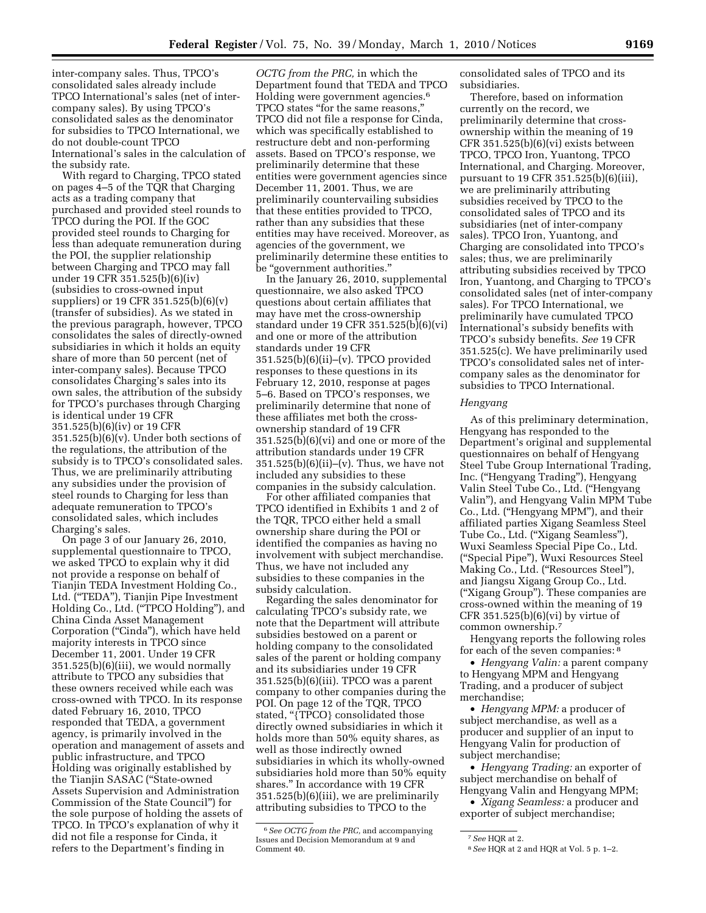inter-company sales. Thus, TPCO's consolidated sales already include TPCO International's sales (net of intercompany sales). By using TPCO's consolidated sales as the denominator for subsidies to TPCO International, we do not double-count TPCO International's sales in the calculation of the subsidy rate.

With regard to Charging, TPCO stated on pages 4–5 of the TQR that Charging acts as a trading company that purchased and provided steel rounds to TPCO during the POI. If the GOC provided steel rounds to Charging for less than adequate remuneration during the POI, the supplier relationship between Charging and TPCO may fall under 19 CFR 351.525(b)(6)(iv) (subsidies to cross-owned input suppliers) or 19 CFR 351.525(b)(6)(v) (transfer of subsidies). As we stated in the previous paragraph, however, TPCO consolidates the sales of directly-owned subsidiaries in which it holds an equity share of more than 50 percent (net of inter-company sales). Because TPCO consolidates Charging's sales into its own sales, the attribution of the subsidy for TPCO's purchases through Charging is identical under 19 CFR 351.525(b)(6)(iv) or 19 CFR  $351.525(b)(6)(v)$ . Under both sections of the regulations, the attribution of the subsidy is to TPCO's consolidated sales. Thus, we are preliminarily attributing any subsidies under the provision of steel rounds to Charging for less than adequate remuneration to TPCO's consolidated sales, which includes Charging's sales.

On page 3 of our January 26, 2010, supplemental questionnaire to TPCO, we asked TPCO to explain why it did not provide a response on behalf of Tianjin TEDA Investment Holding Co., Ltd. (''TEDA''), Tianjin Pipe Investment Holding Co., Ltd. (''TPCO Holding''), and China Cinda Asset Management Corporation (''Cinda''), which have held majority interests in TPCO since December 11, 2001. Under 19 CFR 351.525(b)(6)(iii), we would normally attribute to TPCO any subsidies that these owners received while each was cross-owned with TPCO. In its response dated February 16, 2010, TPCO responded that TEDA, a government agency, is primarily involved in the operation and management of assets and public infrastructure, and TPCO Holding was originally established by the Tianjin SASAC (''State-owned Assets Supervision and Administration Commission of the State Council'') for the sole purpose of holding the assets of TPCO. In TPCO's explanation of why it did not file a response for Cinda, it refers to the Department's finding in

*OCTG from the PRC,* in which the Department found that TEDA and TPCO Holding were government agencies.6 TPCO states ''for the same reasons,'' TPCO did not file a response for Cinda, which was specifically established to restructure debt and non-performing assets. Based on TPCO's response, we preliminarily determine that these entities were government agencies since December 11, 2001. Thus, we are preliminarily countervailing subsidies that these entities provided to TPCO, rather than any subsidies that these entities may have received. Moreover, as agencies of the government, we preliminarily determine these entities to be ''government authorities.''

In the January 26, 2010, supplemental questionnaire, we also asked TPCO questions about certain affiliates that may have met the cross-ownership standard under 19 CFR 351.525(b)(6)(vi) and one or more of the attribution standards under 19 CFR 351.525(b)(6)(ii)–(v). TPCO provided responses to these questions in its February 12, 2010, response at pages 5–6. Based on TPCO's responses, we preliminarily determine that none of these affiliates met both the crossownership standard of 19 CFR 351.525(b)(6)(vi) and one or more of the attribution standards under 19 CFR  $351.525(b)(6)(ii)–(v)$ . Thus, we have not included any subsidies to these companies in the subsidy calculation.

For other affiliated companies that TPCO identified in Exhibits 1 and 2 of the TQR, TPCO either held a small ownership share during the POI or identified the companies as having no involvement with subject merchandise. Thus, we have not included any subsidies to these companies in the subsidy calculation.

Regarding the sales denominator for calculating TPCO's subsidy rate, we note that the Department will attribute subsidies bestowed on a parent or holding company to the consolidated sales of the parent or holding company and its subsidiaries under 19 CFR 351.525(b)(6)(iii). TPCO was a parent company to other companies during the POI. On page 12 of the TQR, TPCO stated, "{TPCO} consolidated those directly owned subsidiaries in which it holds more than 50% equity shares, as well as those indirectly owned subsidiaries in which its wholly-owned subsidiaries hold more than 50% equity shares.'' In accordance with 19 CFR 351.525(b)(6)(iii), we are preliminarily attributing subsidies to TPCO to the

consolidated sales of TPCO and its subsidiaries.

Therefore, based on information currently on the record, we preliminarily determine that crossownership within the meaning of 19 CFR 351.525(b)(6)(vi) exists between TPCO, TPCO Iron, Yuantong, TPCO International, and Charging. Moreover, pursuant to 19 CFR 351.525(b)(6)(iii), we are preliminarily attributing subsidies received by TPCO to the consolidated sales of TPCO and its subsidiaries (net of inter-company sales). TPCO Iron, Yuantong, and Charging are consolidated into TPCO's sales; thus, we are preliminarily attributing subsidies received by TPCO Iron, Yuantong, and Charging to TPCO's consolidated sales (net of inter-company sales). For TPCO International, we preliminarily have cumulated TPCO International's subsidy benefits with TPCO's subsidy benefits. *See* 19 CFR 351.525(c). We have preliminarily used TPCO's consolidated sales net of intercompany sales as the denominator for subsidies to TPCO International.

#### *Hengyang*

As of this preliminary determination, Hengyang has responded to the Department's original and supplemental questionnaires on behalf of Hengyang Steel Tube Group International Trading, Inc. (''Hengyang Trading''), Hengyang Valin Steel Tube Co., Ltd. (''Hengyang Valin''), and Hengyang Valin MPM Tube Co., Ltd. (''Hengyang MPM''), and their affiliated parties Xigang Seamless Steel Tube Co., Ltd. (''Xigang Seamless''), Wuxi Seamless Special Pipe Co., Ltd. (''Special Pipe''), Wuxi Resources Steel Making Co., Ltd. ("Resources Steel"), and Jiangsu Xigang Group Co., Ltd. (''Xigang Group''). These companies are cross-owned within the meaning of 19 CFR 351.525(b)(6)(vi) by virtue of common ownership.7

Hengyang reports the following roles for each of the seven companies: 8

• *Hengyang Valin:* a parent company to Hengyang MPM and Hengyang Trading, and a producer of subject merchandise;

• *Hengyang MPM:* a producer of subject merchandise, as well as a producer and supplier of an input to Hengyang Valin for production of subject merchandise;

• *Hengyang Trading:* an exporter of subject merchandise on behalf of Hengyang Valin and Hengyang MPM;

• *Xigang Seamless:* a producer and exporter of subject merchandise;

<sup>6</sup>*See OCTG from the PRC,* and accompanying Issues and Decision Memorandum at 9 and Comment 40.

<sup>7</sup>*See* HQR at 2.

<sup>8</sup>*See* HQR at 2 and HQR at Vol. 5 p. 1–2.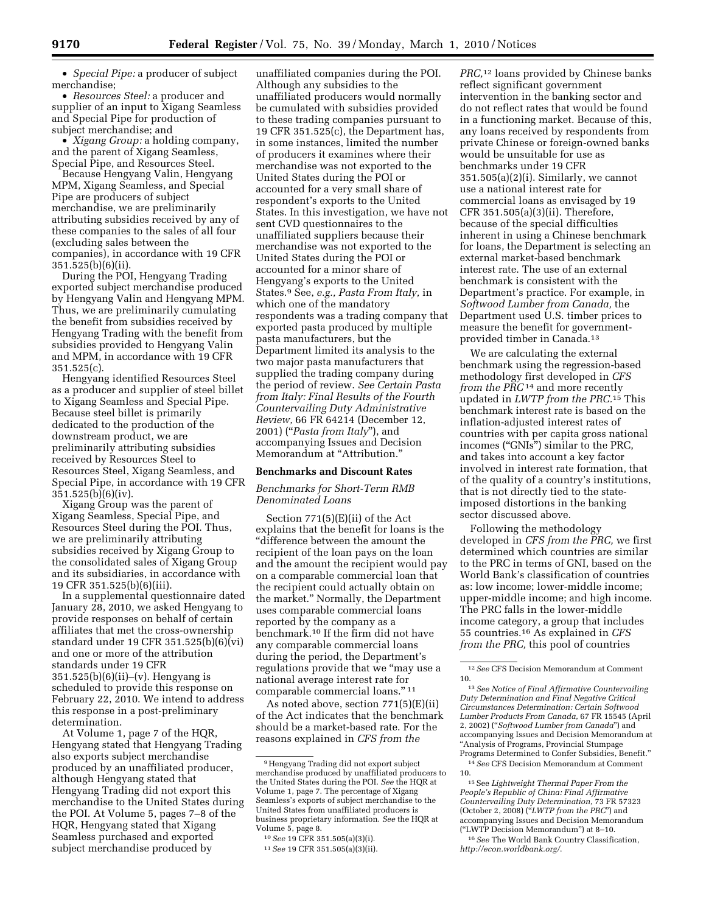• *Special Pipe:* a producer of subject merchandise;

• *Resources Steel:* a producer and supplier of an input to Xigang Seamless and Special Pipe for production of subject merchandise; and

• *Xigang Group:* a holding company, and the parent of Xigang Seamless, Special Pipe, and Resources Steel.

Because Hengyang Valin, Hengyang MPM, Xigang Seamless, and Special Pipe are producers of subject merchandise, we are preliminarily attributing subsidies received by any of these companies to the sales of all four (excluding sales between the companies), in accordance with 19 CFR 351.525(b)(6)(ii).

During the POI, Hengyang Trading exported subject merchandise produced by Hengyang Valin and Hengyang MPM. Thus, we are preliminarily cumulating the benefit from subsidies received by Hengyang Trading with the benefit from subsidies provided to Hengyang Valin and MPM, in accordance with 19 CFR 351.525(c).

Hengyang identified Resources Steel as a producer and supplier of steel billet to Xigang Seamless and Special Pipe. Because steel billet is primarily dedicated to the production of the downstream product, we are preliminarily attributing subsidies received by Resources Steel to Resources Steel, Xigang Seamless, and Special Pipe, in accordance with 19 CFR 351.525(b)(6)(iv).

Xigang Group was the parent of Xigang Seamless, Special Pipe, and Resources Steel during the POI. Thus, we are preliminarily attributing subsidies received by Xigang Group to the consolidated sales of Xigang Group and its subsidiaries, in accordance with 19 CFR 351.525(b)(6)(iii).

In a supplemental questionnaire dated January 28, 2010, we asked Hengyang to provide responses on behalf of certain affiliates that met the cross-ownership standard under 19 CFR 351.525(b)(6)(vi) and one or more of the attribution standards under 19 CFR 351.525(b)(6)(ii)–(v). Hengyang is scheduled to provide this response on February 22, 2010. We intend to address this response in a post-preliminary determination.

At Volume 1, page 7 of the HQR, Hengyang stated that Hengyang Trading also exports subject merchandise produced by an unaffiliated producer, although Hengyang stated that Hengyang Trading did not export this merchandise to the United States during the POI. At Volume 5, pages 7–8 of the HQR, Hengyang stated that Xigang Seamless purchased and exported subject merchandise produced by

unaffiliated companies during the POI. Although any subsidies to the unaffiliated producers would normally be cumulated with subsidies provided to these trading companies pursuant to 19 CFR 351.525(c), the Department has, in some instances, limited the number of producers it examines where their merchandise was not exported to the United States during the POI or accounted for a very small share of respondent's exports to the United States. In this investigation, we have not sent CVD questionnaires to the unaffiliated suppliers because their merchandise was not exported to the United States during the POI or accounted for a minor share of Hengyang's exports to the United States.9 See, *e.g., Pasta From Italy,* in which one of the mandatory respondents was a trading company that exported pasta produced by multiple pasta manufacturers, but the Department limited its analysis to the two major pasta manufacturers that supplied the trading company during the period of review. *See Certain Pasta from Italy: Final Results of the Fourth Countervailing Duty Administrative Review,* 66 FR 64214 (December 12, 2001) (''*Pasta from Italy*''), and accompanying Issues and Decision Memorandum at "Attribution."

## **Benchmarks and Discount Rates**

# *Benchmarks for Short-Term RMB Denominated Loans*

Section 771(5)(E)(ii) of the Act explains that the benefit for loans is the ''difference between the amount the recipient of the loan pays on the loan and the amount the recipient would pay on a comparable commercial loan that the recipient could actually obtain on the market.'' Normally, the Department uses comparable commercial loans reported by the company as a benchmark.10 If the firm did not have any comparable commercial loans during the period, the Department's regulations provide that we ''may use a national average interest rate for comparable commercial loans.'' 11

As noted above, section 771(5)(E)(ii) of the Act indicates that the benchmark should be a market-based rate. For the reasons explained in *CFS from the* 

*PRC,*12 loans provided by Chinese banks reflect significant government intervention in the banking sector and do not reflect rates that would be found in a functioning market. Because of this, any loans received by respondents from private Chinese or foreign-owned banks would be unsuitable for use as benchmarks under 19 CFR 351.505(a)(2)(i). Similarly, we cannot use a national interest rate for commercial loans as envisaged by 19 CFR 351.505(a)(3)(ii). Therefore, because of the special difficulties inherent in using a Chinese benchmark for loans, the Department is selecting an external market-based benchmark interest rate. The use of an external benchmark is consistent with the Department's practice. For example, in *Softwood Lumber from Canada,* the Department used U.S. timber prices to measure the benefit for governmentprovided timber in Canada.13

We are calculating the external benchmark using the regression-based methodology first developed in *CFS from the PRC*14 and more recently updated in *LWTP from the PRC.*15 This benchmark interest rate is based on the inflation-adjusted interest rates of countries with per capita gross national incomes (''GNIs'') similar to the PRC, and takes into account a key factor involved in interest rate formation, that of the quality of a country's institutions, that is not directly tied to the stateimposed distortions in the banking sector discussed above.

Following the methodology developed in *CFS from the PRC,* we first determined which countries are similar to the PRC in terms of GNI, based on the World Bank's classification of countries as: low income; lower-middle income; upper-middle income; and high income. The PRC falls in the lower-middle income category, a group that includes 55 countries.16 As explained in *CFS from the PRC,* this pool of countries

<sup>9</sup>Hengyang Trading did not export subject merchandise produced by unaffiliated producers to the United States during the POI. *See* the HQR at Volume 1, page 7. The percentage of Xigang Seamless's exports of subject merchandise to the United States from unaffiliated producers is business proprietary information. *See* the HQR at Volume 5, page 8.

<sup>10</sup>*See* 19 CFR 351.505(a)(3)(i).

<sup>11</sup>*See* 19 CFR 351.505(a)(3)(ii).

<sup>12</sup>*See* CFS Decision Memorandum at Comment 10.

<sup>13</sup>*See Notice of Final Affirmative Countervailing Duty Determination and Final Negative Critical Circumstances Determination: Certain Softwood Lumber Products From Canada,* 67 FR 15545 (April 2, 2002) (''*Softwood Lumber from Canada*'') and accompanying Issues and Decision Memorandum at ''Analysis of Programs, Provincial Stumpage Programs Determined to Confer Subsidies, Benefit.'' 14*See* CFS Decision Memorandum at Comment

<sup>10.</sup> 

<sup>15</sup>See *Lightweight Thermal Paper From the People's Republic of China: Final Affirmative Countervailing Duty Determination,* 73 FR 57323 (October 2, 2008) (''*LWTP from the PRC*'') and accompanying Issues and Decision Memorandum (''LWTP Decision Memorandum'') at 8–10.

<sup>16</sup>*See* The World Bank Country Classification, *http://econ.worldbank.org/*.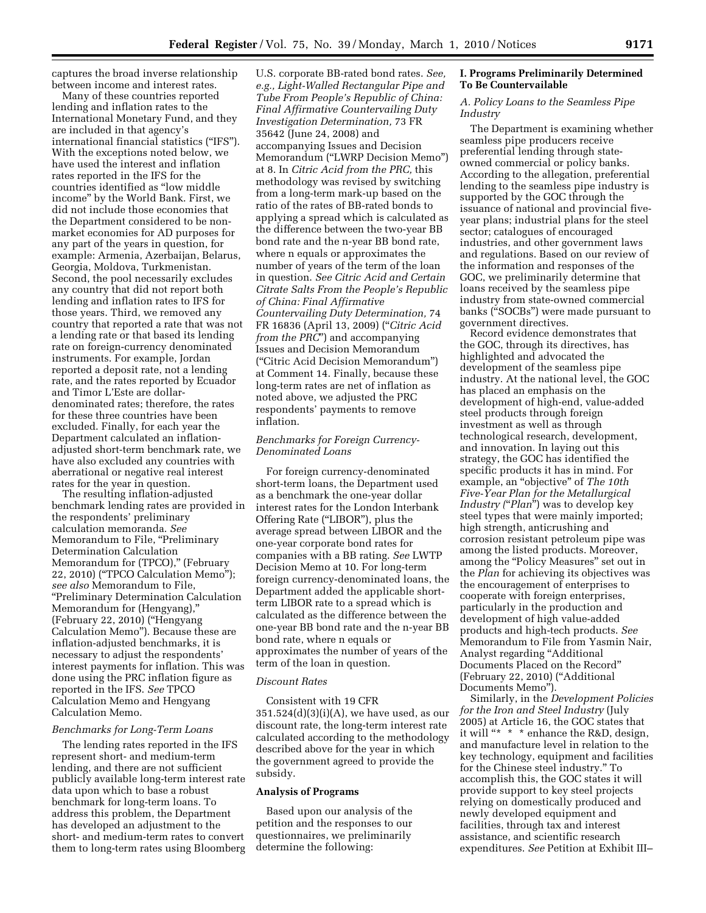captures the broad inverse relationship between income and interest rates.

Many of these countries reported lending and inflation rates to the International Monetary Fund, and they are included in that agency's international financial statistics (''IFS''). With the exceptions noted below, we have used the interest and inflation rates reported in the IFS for the countries identified as ''low middle income'' by the World Bank. First, we did not include those economies that the Department considered to be nonmarket economies for AD purposes for any part of the years in question, for example: Armenia, Azerbaijan, Belarus, Georgia, Moldova, Turkmenistan. Second, the pool necessarily excludes any country that did not report both lending and inflation rates to IFS for those years. Third, we removed any country that reported a rate that was not a lending rate or that based its lending rate on foreign-currency denominated instruments. For example, Jordan reported a deposit rate, not a lending rate, and the rates reported by Ecuador and Timor L'Este are dollardenominated rates; therefore, the rates for these three countries have been excluded. Finally, for each year the Department calculated an inflationadjusted short-term benchmark rate, we have also excluded any countries with aberrational or negative real interest rates for the year in question.

The resulting inflation-adjusted benchmark lending rates are provided in the respondents' preliminary calculation memoranda. *See*  Memorandum to File, "Preliminary Determination Calculation Memorandum for (TPCO),'' (February 22, 2010) (''TPCO Calculation Memo''); *see also* Memorandum to File, ''Preliminary Determination Calculation Memorandum for (Hengyang),'' (February 22, 2010) (''Hengyang Calculation Memo''). Because these are inflation-adjusted benchmarks, it is necessary to adjust the respondents' interest payments for inflation. This was done using the PRC inflation figure as reported in the IFS. *See* TPCO Calculation Memo and Hengyang Calculation Memo.

## *Benchmarks for Long-Term Loans*

The lending rates reported in the IFS represent short- and medium-term lending, and there are not sufficient publicly available long-term interest rate data upon which to base a robust benchmark for long-term loans. To address this problem, the Department has developed an adjustment to the short- and medium-term rates to convert them to long-term rates using Bloomberg U.S. corporate BB-rated bond rates. *See, e.g., Light-Walled Rectangular Pipe and Tube From People's Republic of China: Final Affirmative Countervailing Duty Investigation Determination,* 73 FR 35642 (June 24, 2008) and accompanying Issues and Decision Memorandum (''LWRP Decision Memo'') at 8. In *Citric Acid from the PRC,* this methodology was revised by switching from a long-term mark-up based on the ratio of the rates of BB-rated bonds to applying a spread which is calculated as the difference between the two-year BB bond rate and the n-year BB bond rate, where n equals or approximates the number of years of the term of the loan in question. *See Citric Acid and Certain Citrate Salts From the People's Republic of China: Final Affirmative Countervailing Duty Determination,* 74 FR 16836 (April 13, 2009) (''*Citric Acid from the PRC*'') and accompanying Issues and Decision Memorandum (''Citric Acid Decision Memorandum'') at Comment 14. Finally, because these long-term rates are net of inflation as noted above, we adjusted the PRC respondents' payments to remove inflation.

#### *Benchmarks for Foreign Currency-Denominated Loans*

For foreign currency-denominated short-term loans, the Department used as a benchmark the one-year dollar interest rates for the London Interbank Offering Rate (''LIBOR''), plus the average spread between LIBOR and the one-year corporate bond rates for companies with a BB rating. *See* LWTP Decision Memo at 10. For long-term foreign currency-denominated loans, the Department added the applicable shortterm LIBOR rate to a spread which is calculated as the difference between the one-year BB bond rate and the n-year BB bond rate, where n equals or approximates the number of years of the term of the loan in question.

#### *Discount Rates*

Consistent with 19 CFR  $351.524(d)(3)(i)(A)$ , we have used, as our discount rate, the long-term interest rate calculated according to the methodology described above for the year in which the government agreed to provide the subsidy.

# **Analysis of Programs**

Based upon our analysis of the petition and the responses to our questionnaires, we preliminarily determine the following:

## **I. Programs Preliminarily Determined To Be Countervailable**

#### *A. Policy Loans to the Seamless Pipe Industry*

The Department is examining whether seamless pipe producers receive preferential lending through stateowned commercial or policy banks. According to the allegation, preferential lending to the seamless pipe industry is supported by the GOC through the issuance of national and provincial fiveyear plans; industrial plans for the steel sector; catalogues of encouraged industries, and other government laws and regulations. Based on our review of the information and responses of the GOC, we preliminarily determine that loans received by the seamless pipe industry from state-owned commercial banks (''SOCBs'') were made pursuant to government directives.

Record evidence demonstrates that the GOC, through its directives, has highlighted and advocated the development of the seamless pipe industry. At the national level, the GOC has placed an emphasis on the development of high-end, value-added steel products through foreign investment as well as through technological research, development, and innovation. In laying out this strategy, the GOC has identified the specific products it has in mind. For example, an ''objective'' of *The 10th Five-Year Plan for the Metallurgical Industry (*''*Plan*'') was to develop key steel types that were mainly imported; high strength, anticrushing and corrosion resistant petroleum pipe was among the listed products. Moreover, among the ''Policy Measures'' set out in the *Plan* for achieving its objectives was the encouragement of enterprises to cooperate with foreign enterprises, particularly in the production and development of high value-added products and high-tech products. *See*  Memorandum to File from Yasmin Nair, Analyst regarding ''Additional Documents Placed on the Record'' (February 22, 2010) ("Additional Documents Memo'').

Similarly, in the *Development Policies for the Iron and Steel Industry* (July 2005) at Article 16, the GOC states that it will "\* \* \* enhance the R&D, design, and manufacture level in relation to the key technology, equipment and facilities for the Chinese steel industry.'' To accomplish this, the GOC states it will provide support to key steel projects relying on domestically produced and newly developed equipment and facilities, through tax and interest assistance, and scientific research expenditures. *See* Petition at Exhibit III–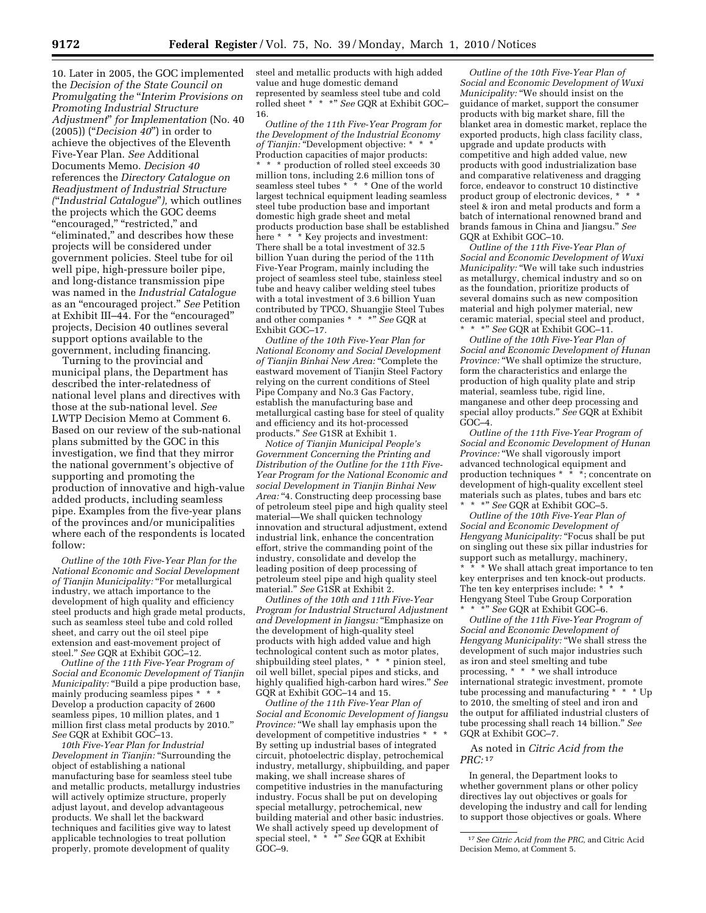10. Later in 2005, the GOC implemented the *Decision of the State Council on Promulgating the* ''*Interim Provisions on Promoting Industrial Structure Adjustment*'' *for Implementation* (No. 40 (2005)) (''*Decision 40*'') in order to achieve the objectives of the Eleventh Five-Year Plan. *See* Additional Documents Memo. *Decision 40*  references the *Directory Catalogue on Readjustment of Industrial Structure (*''*Industrial Catalogue*''*),* which outlines the projects which the GOC deems ''encouraged,'' ''restricted,'' and ''eliminated,'' and describes how these projects will be considered under government policies. Steel tube for oil well pipe, high-pressure boiler pipe, and long-distance transmission pipe was named in the *Industrial Catalogue*  as an ''encouraged project.'' *See* Petition at Exhibit III–44. For the ''encouraged'' projects, Decision 40 outlines several support options available to the government, including financing.

Turning to the provincial and municipal plans, the Department has described the inter-relatedness of national level plans and directives with those at the sub-national level. *See*  LWTP Decision Memo at Comment 6. Based on our review of the sub-national plans submitted by the GOC in this investigation, we find that they mirror the national government's objective of supporting and promoting the production of innovative and high-value added products, including seamless pipe. Examples from the five-year plans of the provinces and/or municipalities where each of the respondents is located follow:

*Outline of the 10th Five-Year Plan for the National Economic and Social Development of Tianjin Municipality:* ''For metallurgical industry, we attach importance to the development of high quality and efficiency steel products and high grade metal products, such as seamless steel tube and cold rolled sheet, and carry out the oil steel pipe extension and east-movement project of steel.'' *See* GQR at Exhibit GOC–12.

*Outline of the 11th Five-Year Program of Social and Economic Development of Tianjin Municipality:* "Build a pipe production base, mainly producing seamless pipes \* Develop a production capacity of 2600 seamless pipes, 10 million plates, and 1 million first class metal products by 2010.'' *See* GQR at Exhibit GOC–13.

*10th Five-Year Plan for Industrial Development in Tianjin:* ''Surrounding the object of establishing a national manufacturing base for seamless steel tube and metallic products, metallurgy industries will actively optimize structure, properly adjust layout, and develop advantageous products. We shall let the backward techniques and facilities give way to latest applicable technologies to treat pollution properly, promote development of quality

steel and metallic products with high added value and huge domestic demand represented by seamless steel tube and cold rolled sheet \* \* \*'' *See* GQR at Exhibit GOC– 16.

*Outline of the 11th Five-Year Program for the Development of the Industrial Economy*  of Tianjin: "Development objective: \* Production capacities of major products: \* \* \* production of rolled steel exceeds 30 million tons, including 2.6 million tons of seamless steel tubes \* \* \* One of the world largest technical equipment leading seamless steel tube production base and important domestic high grade sheet and metal products production base shall be established here \* \* \* Key projects and investment: There shall be a total investment of 32.5 billion Yuan during the period of the 11th Five-Year Program, mainly including the project of seamless steel tube, stainless steel tube and heavy caliber welding steel tubes with a total investment of 3.6 billion Yuan contributed by TPCO, Shuangjie Steel Tubes and other companies \* \* \*'' *See* GQR at Exhibit GOC–17.

*Outline of the 10th Five-Year Plan for National Economy and Social Development of Tianjin Binhai New Area:* ''Complete the eastward movement of Tianjin Steel Factory relying on the current conditions of Steel Pipe Company and No.3 Gas Factory, establish the manufacturing base and metallurgical casting base for steel of quality and efficiency and its hot-processed products.'' *See* G1SR at Exhibit 1.

*Notice of Tianjin Municipal People's Government Concerning the Printing and Distribution of the Outline for the 11th Five-Year Program for the National Economic and social Development in Tianjin Binhai New*  Area: "4. Constructing deep processing base of petroleum steel pipe and high quality steel material—We shall quicken technology innovation and structural adjustment, extend industrial link, enhance the concentration effort, strive the commanding point of the industry, consolidate and develop the leading position of deep processing of petroleum steel pipe and high quality steel material.'' *See* G1SR at Exhibit 2.

*Outlines of the 10th and 11th Five-Year Program for Industrial Structural Adjustment and Development in Jiangsu:* ''Emphasize on the development of high-quality steel products with high added value and high technological content such as motor plates, shipbuilding steel plates, \* \* \* pinion steel, oil well billet, special pipes and sticks, and highly qualified high-carbon hard wires.'' *See*  GQR at Exhibit GOC–14 and 15.

*Outline of the 11th Five-Year Plan of Social and Economic Development of Jiangsu Province:* "We shall lay emphasis upon the development of competitive industries \* \* \* By setting up industrial bases of integrated circuit, photoelectric display, petrochemical industry, metallurgy, shipbuilding, and paper making, we shall increase shares of competitive industries in the manufacturing industry. Focus shall be put on developing special metallurgy, petrochemical, new building material and other basic industries. We shall actively speed up development of special steel, \* \* \*'' *See* GQR at Exhibit GOC–9.

*Outline of the 10th Five-Year Plan of Social and Economic Development of Wuxi Municipality:* ''We should insist on the guidance of market, support the consumer products with big market share, fill the blanket area in domestic market, replace the exported products, high class facility class, upgrade and update products with competitive and high added value, new products with good industrialization base and comparative relativeness and dragging force, endeavor to construct 10 distinctive product group of electronic devices, \* steel & iron and metal products and form a batch of international renowned brand and brands famous in China and Jiangsu.'' *See*  GQR at Exhibit GOC–10.

*Outline of the 11th Five-Year Plan of Social and Economic Development of Wuxi Municipality:* ''We will take such industries as metallurgy, chemical industry and so on as the foundation, prioritize products of several domains such as new composition material and high polymer material, new ceramic material, special steel and product, \*\*\*'' *See* GQR at Exhibit GOC–11.

*Outline of the 10th Five-Year Plan of Social and Economic Development of Hunan*  Province: "We shall optimize the structure, form the characteristics and enlarge the production of high quality plate and strip material, seamless tube, rigid line, manganese and other deep processing and special alloy products.'' *See* GQR at Exhibit GOC–4.

*Outline of the 11th Five-Year Program of Social and Economic Development of Hunan Province:* "We shall vigorously import advanced technological equipment and production techniques  $* \cdot * \cdot *$ ; concentrate on development of high-quality excellent steel materials such as plates, tubes and bars etc \*\*\*'' *See* GQR at Exhibit GOC–5.

*Outline of the 10th Five-Year Plan of Social and Economic Development of Hengyang Municipality:* ''Focus shall be put on singling out these six pillar industries for support such as metallurgy, machinery, \* We shall attach great importance to ten key enterprises and ten knock-out products. The ten key enterprises include: \* Hengyang Steel Tube Group Corporation \*\*\*'' *See* GQR at Exhibit GOC–6.

*Outline of the 11th Five-Year Program of Social and Economic Development of Hengyang Municipality:* ''We shall stress the development of such major industries such as iron and steel smelting and tube processing, \* \* \* we shall introduce international strategic investment, promote tube processing and manufacturing \* \* \* Up to 2010, the smelting of steel and iron and the output for affiliated industrial clusters of tube processing shall reach 14 billion.'' *See*  GQR at Exhibit GOC–7.

## As noted in *Citric Acid from the PRC:* 17

In general, the Department looks to whether government plans or other policy directives lay out objectives or goals for developing the industry and call for lending to support those objectives or goals. Where

<sup>17</sup>*See Citric Acid from the PRC,* and Citric Acid Decision Memo, at Comment 5.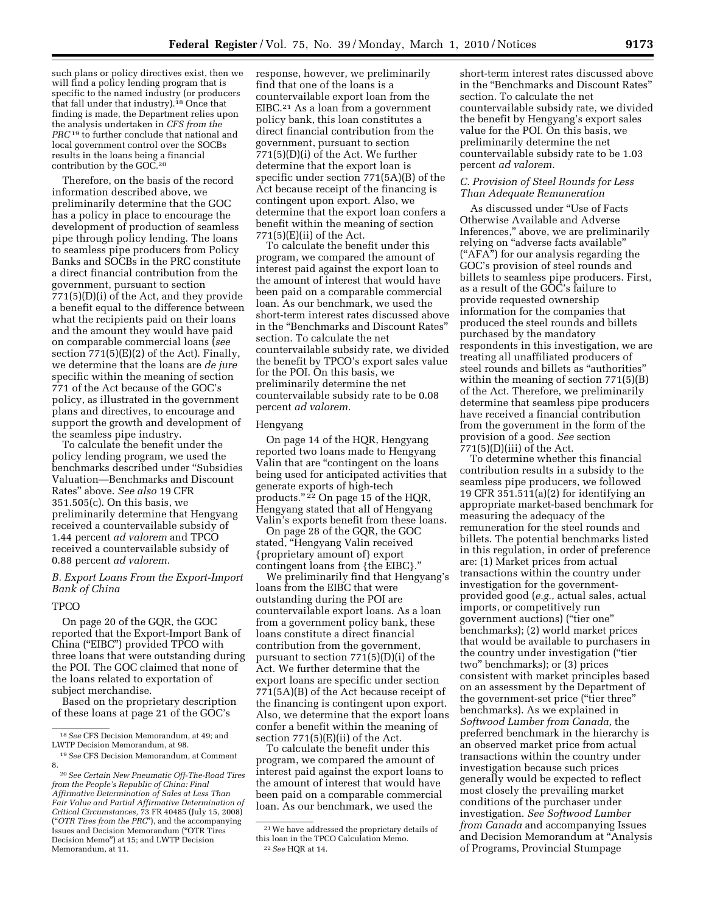such plans or policy directives exist, then we will find a policy lending program that is specific to the named industry (or producers that fall under that industry).18 Once that finding is made, the Department relies upon the analysis undertaken in *CFS from the PRC*19 to further conclude that national and local government control over the SOCBs results in the loans being a financial contribution by the GOC.20

Therefore, on the basis of the record information described above, we preliminarily determine that the GOC has a policy in place to encourage the development of production of seamless pipe through policy lending. The loans to seamless pipe producers from Policy Banks and SOCBs in the PRC constitute a direct financial contribution from the government, pursuant to section 771(5)(D)(i) of the Act, and they provide a benefit equal to the difference between what the recipients paid on their loans and the amount they would have paid on comparable commercial loans (*see*  section 771(5)(E)(2) of the Act). Finally, we determine that the loans are *de jure*  specific within the meaning of section 771 of the Act because of the GOC's policy, as illustrated in the government plans and directives, to encourage and support the growth and development of the seamless pipe industry.

To calculate the benefit under the policy lending program, we used the benchmarks described under ''Subsidies Valuation—Benchmarks and Discount Rates'' above. *See also* 19 CFR 351.505(c). On this basis, we preliminarily determine that Hengyang received a countervailable subsidy of 1.44 percent *ad valorem* and TPCO received a countervailable subsidy of 0.88 percent *ad valorem.* 

*B. Export Loans From the Export-Import Bank of China* 

#### **TPCO**

On page 20 of the GQR, the GOC reported that the Export-Import Bank of China (''EIBC'') provided TPCO with three loans that were outstanding during the POI. The GOC claimed that none of the loans related to exportation of subject merchandise.

Based on the proprietary description of these loans at page 21 of the GOC's

response, however, we preliminarily find that one of the loans is a countervailable export loan from the EIBC.<sup>21</sup> As a loan from a government policy bank, this loan constitutes a direct financial contribution from the government, pursuant to section 771(5)(D)(i) of the Act. We further determine that the export loan is specific under section 771(5A)(B) of the Act because receipt of the financing is contingent upon export. Also, we determine that the export loan confers a benefit within the meaning of section  $771(5)$ (E)(ii) of the Act.

To calculate the benefit under this program, we compared the amount of interest paid against the export loan to the amount of interest that would have been paid on a comparable commercial loan. As our benchmark, we used the short-term interest rates discussed above in the ''Benchmarks and Discount Rates'' section. To calculate the net countervailable subsidy rate, we divided the benefit by TPCO's export sales value for the POI. On this basis, we preliminarily determine the net countervailable subsidy rate to be 0.08 percent *ad valorem.* 

#### Hengyang

On page 14 of the HQR, Hengyang reported two loans made to Hengyang Valin that are ''contingent on the loans being used for anticipated activities that generate exports of high-tech products."<sup>22</sup> On page 15 of the HQR, Hengyang stated that all of Hengyang Valin's exports benefit from these loans.

On page 28 of the GQR, the GOC stated, ''Hengyang Valin received {proprietary amount of} export contingent loans from {the EIBC}.''

We preliminarily find that Hengyang's loans from the EIBC that were outstanding during the POI are countervailable export loans. As a loan from a government policy bank, these loans constitute a direct financial contribution from the government, pursuant to section 771(5)(D)(i) of the Act. We further determine that the export loans are specific under section 771(5A)(B) of the Act because receipt of the financing is contingent upon export. Also, we determine that the export loans confer a benefit within the meaning of section 771(5)(E)(ii) of the Act.

To calculate the benefit under this program, we compared the amount of interest paid against the export loans to the amount of interest that would have been paid on a comparable commercial loan. As our benchmark, we used the

short-term interest rates discussed above in the ''Benchmarks and Discount Rates'' section. To calculate the net countervailable subsidy rate, we divided the benefit by Hengyang's export sales value for the POI. On this basis, we preliminarily determine the net countervailable subsidy rate to be 1.03 percent *ad valorem.* 

## *C. Provision of Steel Rounds for Less Than Adequate Remuneration*

As discussed under ''Use of Facts Otherwise Available and Adverse Inferences,'' above, we are preliminarily relying on ''adverse facts available'' (''AFA'') for our analysis regarding the GOC's provision of steel rounds and billets to seamless pipe producers. First, as a result of the GOC's failure to provide requested ownership information for the companies that produced the steel rounds and billets purchased by the mandatory respondents in this investigation, we are treating all unaffiliated producers of steel rounds and billets as "authorities" within the meaning of section 771(5)(B) of the Act. Therefore, we preliminarily determine that seamless pipe producers have received a financial contribution from the government in the form of the provision of a good. *See* section  $771(5)(D)(iii)$  of the Act.

To determine whether this financial contribution results in a subsidy to the seamless pipe producers, we followed 19 CFR 351.511(a)(2) for identifying an appropriate market-based benchmark for measuring the adequacy of the remuneration for the steel rounds and billets. The potential benchmarks listed in this regulation, in order of preference are: (1) Market prices from actual transactions within the country under investigation for the governmentprovided good (*e.g.,* actual sales, actual imports, or competitively run government auctions) (''tier one'' benchmarks); (2) world market prices that would be available to purchasers in the country under investigation (''tier two'' benchmarks); or (3) prices consistent with market principles based on an assessment by the Department of the government-set price (''tier three'' benchmarks). As we explained in *Softwood Lumber from Canada,* the preferred benchmark in the hierarchy is an observed market price from actual transactions within the country under investigation because such prices generally would be expected to reflect most closely the prevailing market conditions of the purchaser under investigation. *See Softwood Lumber from Canada* and accompanying Issues and Decision Memorandum at ''Analysis of Programs, Provincial Stumpage

<sup>18</sup>*See* CFS Decision Memorandum, at 49; and LWTP Decision Memorandum, at 98.

<sup>19</sup>*See* CFS Decision Memorandum, at Comment 8.

<sup>20</sup>*See Certain New Pneumatic Off-The-Road Tires from the People's Republic of China: Final Affirmative Determination of Sales at Less Than Fair Value and Partial Affirmative Determination of Critical Circumstances,* 73 FR 40485 (July 15, 2008) (''*OTR Tires from the PRC*''), and the accompanying Issues and Decision Memorandum (''OTR Tires Decision Memo'') at 15; and LWTP Decision Memorandum, at 11.

<sup>21</sup>We have addressed the proprietary details of this loan in the TPCO Calculation Memo. 22*See* HQR at 14.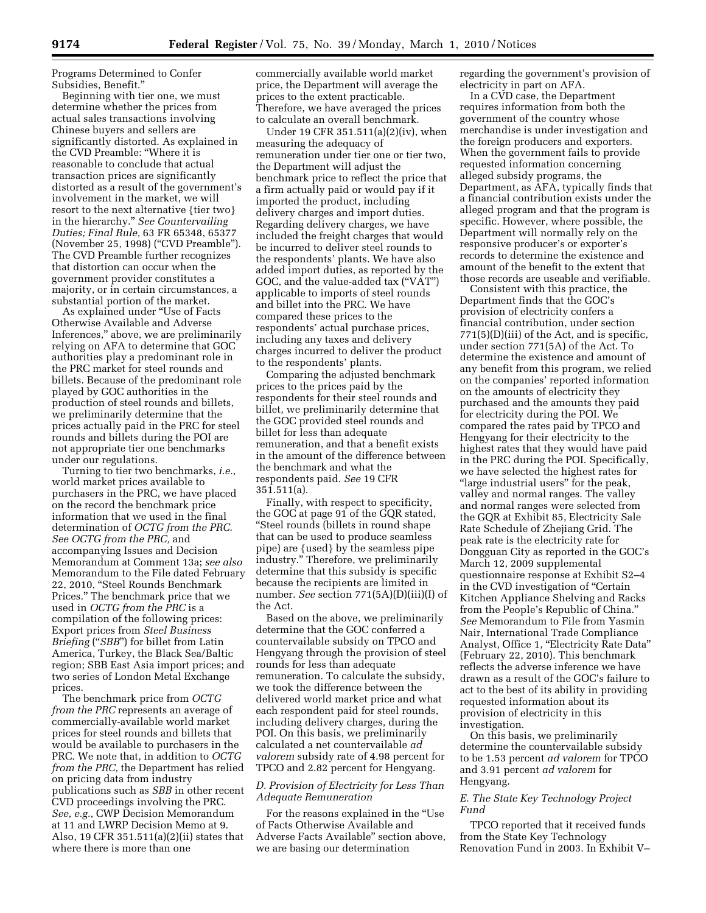Programs Determined to Confer Subsidies, Benefit.''

Beginning with tier one, we must determine whether the prices from actual sales transactions involving Chinese buyers and sellers are significantly distorted. As explained in the CVD Preamble: ''Where it is reasonable to conclude that actual transaction prices are significantly distorted as a result of the government's involvement in the market, we will resort to the next alternative {tier two} in the hierarchy.'' *See Countervailing Duties; Final Rule,* 63 FR 65348, 65377 (November 25, 1998) ("CVD Preamble"). The CVD Preamble further recognizes that distortion can occur when the government provider constitutes a majority, or in certain circumstances, a substantial portion of the market.

As explained under ''Use of Facts Otherwise Available and Adverse Inferences,'' above, we are preliminarily relying on AFA to determine that GOC authorities play a predominant role in the PRC market for steel rounds and billets. Because of the predominant role played by GOC authorities in the production of steel rounds and billets, we preliminarily determine that the prices actually paid in the PRC for steel rounds and billets during the POI are not appropriate tier one benchmarks under our regulations.

Turning to tier two benchmarks, *i.e.,*  world market prices available to purchasers in the PRC, we have placed on the record the benchmark price information that we used in the final determination of *OCTG from the PRC. See OCTG from the PRC,* and accompanying Issues and Decision Memorandum at Comment 13a; *see also*  Memorandum to the File dated February 22, 2010, ''Steel Rounds Benchmark Prices.'' The benchmark price that we used in *OCTG from the PRC* is a compilation of the following prices: Export prices from *Steel Business Briefing* (''*SBB*'') for billet from Latin America, Turkey, the Black Sea/Baltic region; SBB East Asia import prices; and two series of London Metal Exchange prices.

The benchmark price from *OCTG from the PRC* represents an average of commercially-available world market prices for steel rounds and billets that would be available to purchasers in the PRC. We note that, in addition to *OCTG from the PRC,* the Department has relied on pricing data from industry publications such as *SBB* in other recent CVD proceedings involving the PRC. *See, e.g.,* CWP Decision Memorandum at 11 and LWRP Decision Memo at 9. Also, 19 CFR 351.511(a)(2)(ii) states that where there is more than one

commercially available world market price, the Department will average the prices to the extent practicable. Therefore, we have averaged the prices to calculate an overall benchmark.

Under 19 CFR 351.511(a)(2)(iv), when measuring the adequacy of remuneration under tier one or tier two, the Department will adjust the benchmark price to reflect the price that a firm actually paid or would pay if it imported the product, including delivery charges and import duties. Regarding delivery charges, we have included the freight charges that would be incurred to deliver steel rounds to the respondents' plants. We have also added import duties, as reported by the GOC, and the value-added tax (''VAT'') applicable to imports of steel rounds and billet into the PRC. We have compared these prices to the respondents' actual purchase prices, including any taxes and delivery charges incurred to deliver the product to the respondents' plants.

Comparing the adjusted benchmark prices to the prices paid by the respondents for their steel rounds and billet, we preliminarily determine that the GOC provided steel rounds and billet for less than adequate remuneration, and that a benefit exists in the amount of the difference between the benchmark and what the respondents paid. *See* 19 CFR 351.511(a).

Finally, with respect to specificity, the GOC at page 91 of the GQR stated, ''Steel rounds (billets in round shape that can be used to produce seamless pipe) are {used} by the seamless pipe industry.'' Therefore, we preliminarily determine that this subsidy is specific because the recipients are limited in number. *See* section 771(5A)(D)(iii)(I) of the Act.

Based on the above, we preliminarily determine that the GOC conferred a countervailable subsidy on TPCO and Hengyang through the provision of steel rounds for less than adequate remuneration. To calculate the subsidy, we took the difference between the delivered world market price and what each respondent paid for steel rounds, including delivery charges, during the POI. On this basis, we preliminarily calculated a net countervailable *ad valorem* subsidy rate of 4.98 percent for TPCO and 2.82 percent for Hengyang.

## *D. Provision of Electricity for Less Than Adequate Remuneration*

For the reasons explained in the ''Use of Facts Otherwise Available and Adverse Facts Available'' section above, we are basing our determination

regarding the government's provision of electricity in part on AFA.

In a CVD case, the Department requires information from both the government of the country whose merchandise is under investigation and the foreign producers and exporters. When the government fails to provide requested information concerning alleged subsidy programs, the Department, as AFA, typically finds that a financial contribution exists under the alleged program and that the program is specific. However, where possible, the Department will normally rely on the responsive producer's or exporter's records to determine the existence and amount of the benefit to the extent that those records are useable and verifiable.

Consistent with this practice, the Department finds that the GOC's provision of electricity confers a financial contribution, under section  $771(5)(D)(iii)$  of the Act, and is specific, under section 771(5A) of the Act. To determine the existence and amount of any benefit from this program, we relied on the companies' reported information on the amounts of electricity they purchased and the amounts they paid for electricity during the POI. We compared the rates paid by TPCO and Hengyang for their electricity to the highest rates that they would have paid in the PRC during the POI. Specifically, we have selected the highest rates for ''large industrial users'' for the peak, valley and normal ranges. The valley and normal ranges were selected from the GQR at Exhibit 85, Electricity Sale Rate Schedule of Zhejiang Grid. The peak rate is the electricity rate for Dongguan City as reported in the GOC's March 12, 2009 supplemental questionnaire response at Exhibit S2–4 in the CVD investigation of "Certain" Kitchen Appliance Shelving and Racks from the People's Republic of China.'' *See* Memorandum to File from Yasmin Nair, International Trade Compliance Analyst, Office 1, "Electricity Rate Data" (February 22, 2010). This benchmark reflects the adverse inference we have drawn as a result of the GOC's failure to act to the best of its ability in providing requested information about its provision of electricity in this investigation.

On this basis, we preliminarily determine the countervailable subsidy to be 1.53 percent *ad valorem* for TPCO and 3.91 percent *ad valorem* for Hengyang.

## *E. The State Key Technology Project Fund*

TPCO reported that it received funds from the State Key Technology Renovation Fund in 2003. In Exhibit V–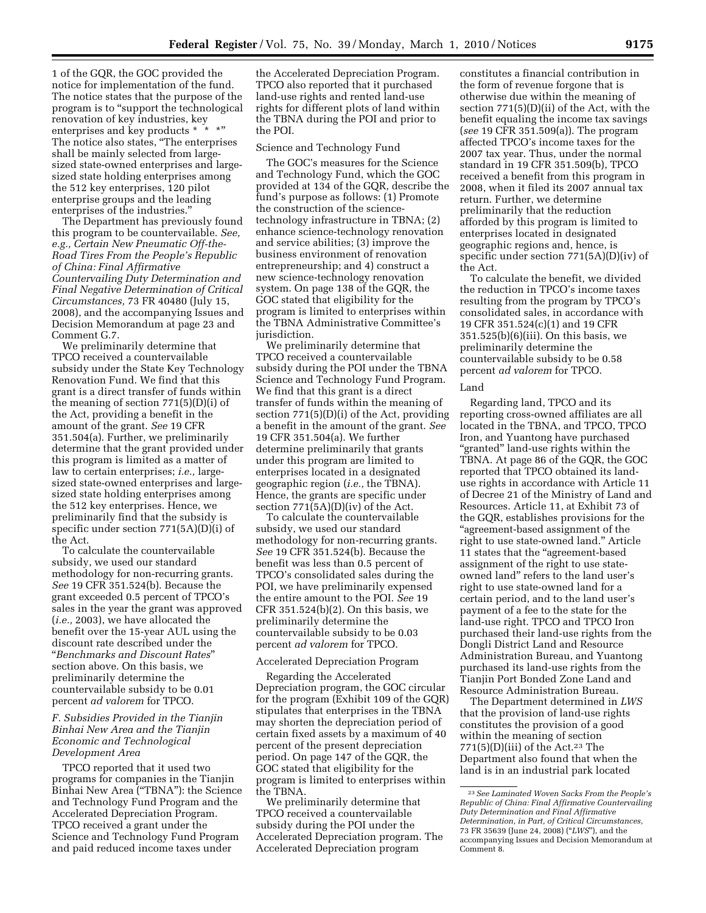1 of the GQR, the GOC provided the notice for implementation of the fund. The notice states that the purpose of the program is to "support the technological renovation of key industries, key enterprises and key products \* \* The notice also states, ''The enterprises shall be mainly selected from largesized state-owned enterprises and largesized state holding enterprises among the 512 key enterprises, 120 pilot enterprise groups and the leading enterprises of the industries.''

The Department has previously found this program to be countervailable. *See, e.g., Certain New Pneumatic Off-the-Road Tires From the People's Republic of China: Final Affirmative Countervailing Duty Determination and Final Negative Determination of Critical Circumstances,* 73 FR 40480 (July 15, 2008), and the accompanying Issues and Decision Memorandum at page 23 and Comment G.7.

We preliminarily determine that TPCO received a countervailable subsidy under the State Key Technology Renovation Fund. We find that this grant is a direct transfer of funds within the meaning of section 771(5)(D)(i) of the Act, providing a benefit in the amount of the grant. *See* 19 CFR 351.504(a). Further, we preliminarily determine that the grant provided under this program is limited as a matter of law to certain enterprises; *i.e.,* largesized state-owned enterprises and largesized state holding enterprises among the 512 key enterprises. Hence, we preliminarily find that the subsidy is specific under section 771(5A)(D)(i) of the Act.

To calculate the countervailable subsidy, we used our standard methodology for non-recurring grants. *See* 19 CFR 351.524(b). Because the grant exceeded 0.5 percent of TPCO's sales in the year the grant was approved (*i.e.,* 2003), we have allocated the benefit over the 15-year AUL using the discount rate described under the ''*Benchmarks and Discount Rates*'' section above. On this basis, we preliminarily determine the countervailable subsidy to be 0.01 percent *ad valorem* for TPCO.

## *F. Subsidies Provided in the Tianjin Binhai New Area and the Tianjin Economic and Technological Development Area*

TPCO reported that it used two programs for companies in the Tianjin Binhai New Area ("TBNA"): the Science and Technology Fund Program and the Accelerated Depreciation Program. TPCO received a grant under the Science and Technology Fund Program and paid reduced income taxes under

the Accelerated Depreciation Program. TPCO also reported that it purchased land-use rights and rented land-use rights for different plots of land within the TBNA during the POI and prior to the POI.

#### Science and Technology Fund

The GOC's measures for the Science and Technology Fund, which the GOC provided at 134 of the GQR, describe the fund's purpose as follows: (1) Promote the construction of the sciencetechnology infrastructure in TBNA; (2) enhance science-technology renovation and service abilities; (3) improve the business environment of renovation entrepreneurship; and 4) construct a new science-technology renovation system. On page 138 of the GQR, the GOC stated that eligibility for the program is limited to enterprises within the TBNA Administrative Committee's jurisdiction.

We preliminarily determine that TPCO received a countervailable subsidy during the POI under the TBNA Science and Technology Fund Program. We find that this grant is a direct transfer of funds within the meaning of section 771(5)(D)(i) of the Act, providing a benefit in the amount of the grant. *See*  19 CFR 351.504(a). We further determine preliminarily that grants under this program are limited to enterprises located in a designated geographic region (*i.e.,* the TBNA). Hence, the grants are specific under section 771(5A)(D)(iv) of the Act.

To calculate the countervailable subsidy, we used our standard methodology for non-recurring grants. *See* 19 CFR 351.524(b). Because the benefit was less than 0.5 percent of TPCO's consolidated sales during the POI, we have preliminarily expensed the entire amount to the POI. *See* 19 CFR 351.524(b)(2). On this basis, we preliminarily determine the countervailable subsidy to be 0.03 percent *ad valorem* for TPCO.

#### Accelerated Depreciation Program

Regarding the Accelerated Depreciation program, the GOC circular for the program (Exhibit 109 of the GQR) stipulates that enterprises in the TBNA may shorten the depreciation period of certain fixed assets by a maximum of 40 percent of the present depreciation period. On page 147 of the GQR, the GOC stated that eligibility for the program is limited to enterprises within the TBNA.

We preliminarily determine that TPCO received a countervailable subsidy during the POI under the Accelerated Depreciation program. The Accelerated Depreciation program

constitutes a financial contribution in the form of revenue forgone that is otherwise due within the meaning of section 771(5)(D)(ii) of the Act, with the benefit equaling the income tax savings (*see* 19 CFR 351.509(a)). The program affected TPCO's income taxes for the 2007 tax year. Thus, under the normal standard in 19 CFR 351.509(b), TPCO received a benefit from this program in 2008, when it filed its 2007 annual tax return. Further, we determine preliminarily that the reduction afforded by this program is limited to enterprises located in designated geographic regions and, hence, is specific under section 771(5A)(D)(iv) of the Act.

To calculate the benefit, we divided the reduction in TPCO's income taxes resulting from the program by TPCO's consolidated sales, in accordance with 19 CFR 351.524(c)(1) and 19 CFR 351.525(b)(6)(iii). On this basis, we preliminarily determine the countervailable subsidy to be 0.58 percent *ad valorem* for TPCO.

#### Land

Regarding land, TPCO and its reporting cross-owned affiliates are all located in the TBNA, and TPCO, TPCO Iron, and Yuantong have purchased "granted" land-use rights within the TBNA. At page 86 of the GQR, the GOC reported that TPCO obtained its landuse rights in accordance with Article 11 of Decree 21 of the Ministry of Land and Resources. Article 11, at Exhibit 73 of the GQR, establishes provisions for the ''agreement-based assignment of the right to use state-owned land.'' Article 11 states that the "agreement-based assignment of the right to use stateowned land'' refers to the land user's right to use state-owned land for a certain period, and to the land user's payment of a fee to the state for the land-use right. TPCO and TPCO Iron purchased their land-use rights from the Dongli District Land and Resource Administration Bureau, and Yuantong purchased its land-use rights from the Tianjin Port Bonded Zone Land and Resource Administration Bureau.

The Department determined in *LWS*  that the provision of land-use rights constitutes the provision of a good within the meaning of section  $771(5)(D)(iii)$  of the Act.<sup>23</sup> The Department also found that when the land is in an industrial park located

<sup>23</sup>*See Laminated Woven Sacks From the People's Republic of China: Final Affirmative Countervailing Duty Determination and Final Affirmative Determination, in Part, of Critical Circumstances,*  73 FR 35639 (June 24, 2008) (''*LWS*''), and the accompanying Issues and Decision Memorandum at Comment 8.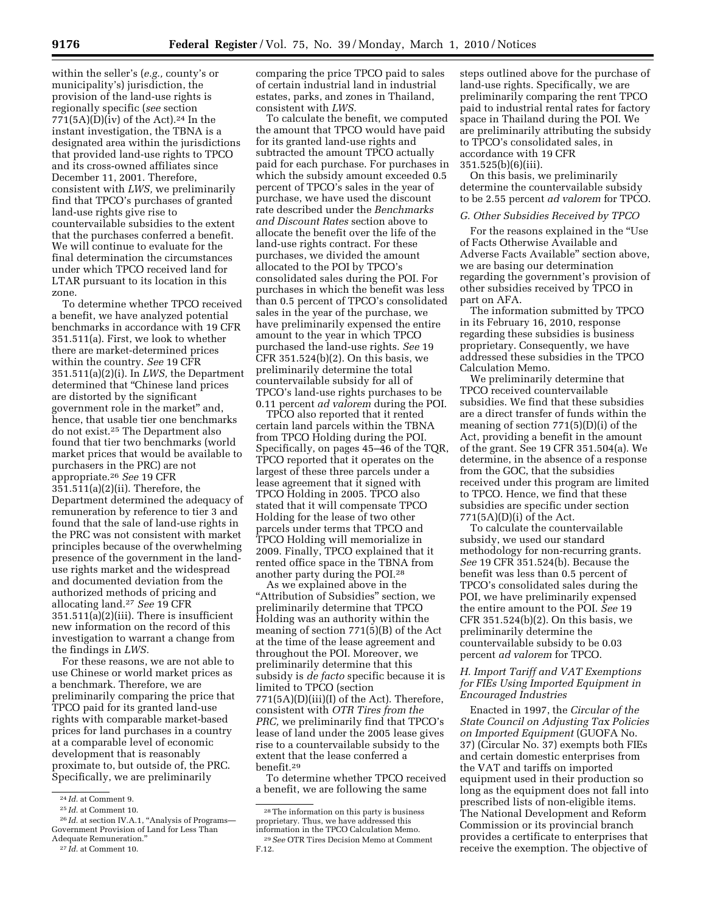within the seller's (*e.g.,* county's or municipality's) jurisdiction, the provision of the land-use rights is regionally specific (*see* section  $771(5A)(D)(iv)$  of the Act).<sup>24</sup> In the instant investigation, the TBNA is a designated area within the jurisdictions that provided land-use rights to TPCO and its cross-owned affiliates since December 11, 2001. Therefore, consistent with *LWS,* we preliminarily find that TPCO's purchases of granted land-use rights give rise to countervailable subsidies to the extent that the purchases conferred a benefit. We will continue to evaluate for the final determination the circumstances under which TPCO received land for LTAR pursuant to its location in this zone.

To determine whether TPCO received a benefit, we have analyzed potential benchmarks in accordance with 19 CFR 351.511(a). First, we look to whether there are market-determined prices within the country. *See* 19 CFR 351.511(a)(2)(i). In *LWS,* the Department determined that ''Chinese land prices are distorted by the significant government role in the market'' and, hence, that usable tier one benchmarks do not exist.25 The Department also found that tier two benchmarks (world market prices that would be available to purchasers in the PRC) are not appropriate.26 *See* 19 CFR 351.511(a)(2)(ii). Therefore, the Department determined the adequacy of remuneration by reference to tier 3 and found that the sale of land-use rights in the PRC was not consistent with market principles because of the overwhelming presence of the government in the landuse rights market and the widespread and documented deviation from the authorized methods of pricing and allocating land.27 *See* 19 CFR 351.511(a)(2)(iii). There is insufficient new information on the record of this investigation to warrant a change from the findings in *LWS.* 

For these reasons, we are not able to use Chinese or world market prices as a benchmark. Therefore, we are preliminarily comparing the price that TPCO paid for its granted land-use rights with comparable market-based prices for land purchases in a country at a comparable level of economic development that is reasonably proximate to, but outside of, the PRC. Specifically, we are preliminarily

<sup>26</sup> *Id.* at section IV.A.1, "Analysis of Programs— Government Provision of Land for Less Than Adequate Remuneration.''

comparing the price TPCO paid to sales of certain industrial land in industrial estates, parks, and zones in Thailand, consistent with *LWS.* 

To calculate the benefit, we computed the amount that TPCO would have paid for its granted land-use rights and subtracted the amount TPCO actually paid for each purchase. For purchases in which the subsidy amount exceeded 0.5 percent of TPCO's sales in the year of purchase, we have used the discount rate described under the *Benchmarks and Discount Rates* section above to allocate the benefit over the life of the land-use rights contract. For these purchases, we divided the amount allocated to the POI by TPCO's consolidated sales during the POI. For purchases in which the benefit was less than 0.5 percent of TPCO's consolidated sales in the year of the purchase, we have preliminarily expensed the entire amount to the year in which TPCO purchased the land-use rights. *See* 19 CFR 351.524(b)(2). On this basis, we preliminarily determine the total countervailable subsidy for all of TPCO's land-use rights purchases to be 0.11 percent *ad valorem* during the POI.

TPCO also reported that it rented certain land parcels within the TBNA from TPCO Holding during the POI. Specifically, on pages 45–46 of the TQR, TPCO reported that it operates on the largest of these three parcels under a lease agreement that it signed with TPCO Holding in 2005. TPCO also stated that it will compensate TPCO Holding for the lease of two other parcels under terms that TPCO and TPCO Holding will memorialize in 2009. Finally, TPCO explained that it rented office space in the TBNA from another party during the POI.28

As we explained above in the "Attribution of Subsidies" section, we preliminarily determine that TPCO Holding was an authority within the meaning of section 771(5)(B) of the Act at the time of the lease agreement and throughout the POI. Moreover, we preliminarily determine that this subsidy is *de facto* specific because it is limited to TPCO (section 771(5A)(D)(iii)(I) of the Act). Therefore, consistent with *OTR Tires from the PRC,* we preliminarily find that TPCO's lease of land under the 2005 lease gives rise to a countervailable subsidy to the extent that the lease conferred a benefit.29

To determine whether TPCO received a benefit, we are following the same

steps outlined above for the purchase of land-use rights. Specifically, we are preliminarily comparing the rent TPCO paid to industrial rental rates for factory space in Thailand during the POI. We are preliminarily attributing the subsidy to TPCO's consolidated sales, in accordance with 19 CFR 351.525(b)(6)(iii).

On this basis, we preliminarily determine the countervailable subsidy to be 2.55 percent *ad valorem* for TPCO.

#### *G. Other Subsidies Received by TPCO*

For the reasons explained in the ''Use of Facts Otherwise Available and Adverse Facts Available'' section above, we are basing our determination regarding the government's provision of other subsidies received by TPCO in part on AFA.

The information submitted by TPCO in its February 16, 2010, response regarding these subsidies is business proprietary. Consequently, we have addressed these subsidies in the TPCO Calculation Memo.

We preliminarily determine that TPCO received countervailable subsidies. We find that these subsidies are a direct transfer of funds within the meaning of section 771(5)(D)(i) of the Act, providing a benefit in the amount of the grant. See 19 CFR 351.504(a). We determine, in the absence of a response from the GOC, that the subsidies received under this program are limited to TPCO. Hence, we find that these subsidies are specific under section 771(5A)(D)(i) of the Act.

To calculate the countervailable subsidy, we used our standard methodology for non-recurring grants. *See* 19 CFR 351.524(b). Because the benefit was less than 0.5 percent of TPCO's consolidated sales during the POI, we have preliminarily expensed the entire amount to the POI. *See* 19 CFR 351.524(b)(2). On this basis, we preliminarily determine the countervailable subsidy to be 0.03 percent *ad valorem* for TPCO.

## *H. Import Tariff and VAT Exemptions for FIEs Using Imported Equipment in Encouraged Industries*

Enacted in 1997, the *Circular of the State Council on Adjusting Tax Policies on Imported Equipment* (GUOFA No. 37) (Circular No. 37) exempts both FIEs and certain domestic enterprises from the VAT and tariffs on imported equipment used in their production so long as the equipment does not fall into prescribed lists of non-eligible items. The National Development and Reform Commission or its provincial branch provides a certificate to enterprises that receive the exemption. The objective of

<sup>24</sup> *Id.* at Comment 9.

<sup>25</sup> *Id.* at Comment 10.

<sup>27</sup> *Id.* at Comment 10.

<sup>28</sup>The information on this party is business proprietary. Thus, we have addressed this <sup>29</sup> See OTR Tires Decision Memo at Comment F.12.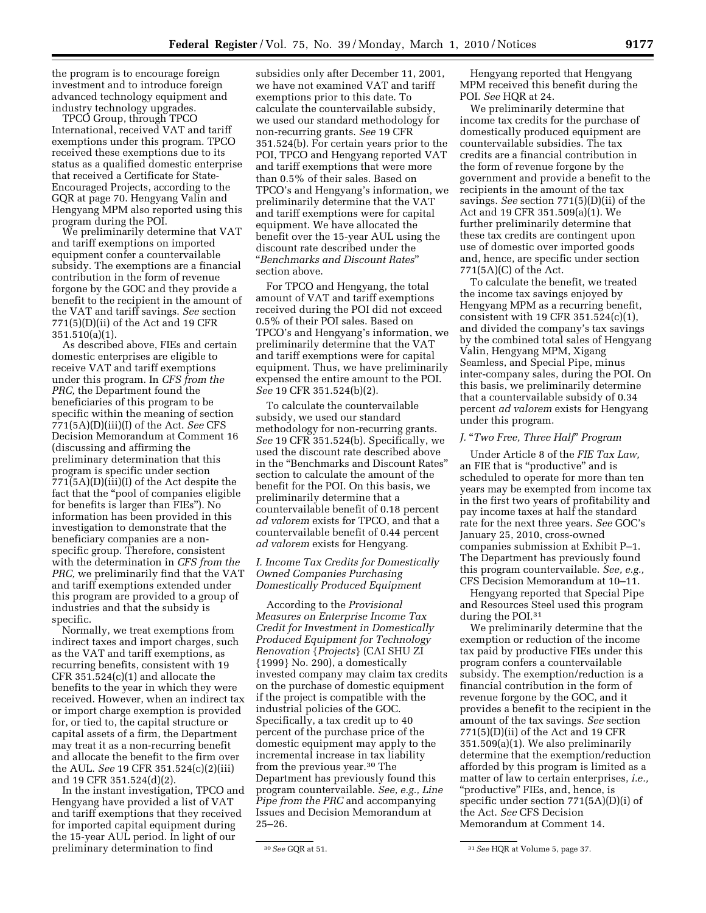the program is to encourage foreign investment and to introduce foreign advanced technology equipment and industry technology upgrades.

TPCO Group, through TPCO International, received VAT and tariff exemptions under this program. TPCO received these exemptions due to its status as a qualified domestic enterprise that received a Certificate for State-Encouraged Projects, according to the GQR at page 70. Hengyang Valin and Hengyang MPM also reported using this program during the POI.

We preliminarily determine that VAT and tariff exemptions on imported equipment confer a countervailable subsidy. The exemptions are a financial contribution in the form of revenue forgone by the GOC and they provide a benefit to the recipient in the amount of the VAT and tariff savings. *See* section 771(5)(D)(ii) of the Act and 19 CFR 351.510(a)(1).

As described above, FIEs and certain domestic enterprises are eligible to receive VAT and tariff exemptions under this program. In *CFS from the PRC,* the Department found the beneficiaries of this program to be specific within the meaning of section 771(5A)(D)(iii)(I) of the Act. *See* CFS Decision Memorandum at Comment 16 (discussing and affirming the preliminary determination that this program is specific under section 771(5A)(D)(iii)(I) of the Act despite the fact that the ''pool of companies eligible for benefits is larger than FIEs''). No information has been provided in this investigation to demonstrate that the beneficiary companies are a nonspecific group. Therefore, consistent with the determination in *CFS from the PRC,* we preliminarily find that the VAT and tariff exemptions extended under this program are provided to a group of industries and that the subsidy is specific.

Normally, we treat exemptions from indirect taxes and import charges, such as the VAT and tariff exemptions, as recurring benefits, consistent with 19 CFR  $351.524(c)(1)$  and allocate the benefits to the year in which they were received. However, when an indirect tax or import charge exemption is provided for, or tied to, the capital structure or capital assets of a firm, the Department may treat it as a non-recurring benefit and allocate the benefit to the firm over the AUL. *See* 19 CFR 351.524(c)(2)(iii) and 19 CFR 351.524(d)(2).

In the instant investigation, TPCO and Hengyang have provided a list of VAT and tariff exemptions that they received for imported capital equipment during the 15-year AUL period. In light of our preliminary determination to find

subsidies only after December 11, 2001, we have not examined VAT and tariff exemptions prior to this date. To calculate the countervailable subsidy, we used our standard methodology for non-recurring grants. *See* 19 CFR 351.524(b). For certain years prior to the POI, TPCO and Hengyang reported VAT and tariff exemptions that were more than 0.5% of their sales. Based on TPCO's and Hengyang's information, we preliminarily determine that the VAT and tariff exemptions were for capital equipment. We have allocated the benefit over the 15-year AUL using the discount rate described under the ''*Benchmarks and Discount Rates*'' section above.

For TPCO and Hengyang, the total amount of VAT and tariff exemptions received during the POI did not exceed 0.5% of their POI sales. Based on TPCO's and Hengyang's information, we preliminarily determine that the VAT and tariff exemptions were for capital equipment. Thus, we have preliminarily expensed the entire amount to the POI. *See* 19 CFR 351.524(b)(2).

To calculate the countervailable subsidy, we used our standard methodology for non-recurring grants. *See* 19 CFR 351.524(b). Specifically, we used the discount rate described above in the ''Benchmarks and Discount Rates'' section to calculate the amount of the benefit for the POI. On this basis, we preliminarily determine that a countervailable benefit of 0.18 percent *ad valorem* exists for TPCO, and that a countervailable benefit of 0.44 percent *ad valorem* exists for Hengyang.

## *I. Income Tax Credits for Domestically Owned Companies Purchasing Domestically Produced Equipment*

According to the *Provisional Measures on Enterprise Income Tax Credit for Investment in Domestically Produced Equipment for Technology Renovation* {*Projects*} (CAI SHU ZI {1999} No. 290), a domestically invested company may claim tax credits on the purchase of domestic equipment if the project is compatible with the industrial policies of the GOC. Specifically, a tax credit up to 40 percent of the purchase price of the domestic equipment may apply to the incremental increase in tax liability from the previous year.30 The Department has previously found this program countervailable. *See, e.g., Line Pipe from the PRC* and accompanying Issues and Decision Memorandum at 25–26.

Hengyang reported that Hengyang MPM received this benefit during the POI. *See* HQR at 24.

We preliminarily determine that income tax credits for the purchase of domestically produced equipment are countervailable subsidies. The tax credits are a financial contribution in the form of revenue forgone by the government and provide a benefit to the recipients in the amount of the tax savings. *See* section 771(5)(D)(ii) of the Act and 19 CFR 351.509(a)(1). We further preliminarily determine that these tax credits are contingent upon use of domestic over imported goods and, hence, are specific under section 771(5A)(C) of the Act.

To calculate the benefit, we treated the income tax savings enjoyed by Hengyang MPM as a recurring benefit, consistent with 19 CFR  $351.524(c)(1)$ , and divided the company's tax savings by the combined total sales of Hengyang Valin, Hengyang MPM, Xigang Seamless, and Special Pipe, minus inter-company sales, during the POI. On this basis, we preliminarily determine that a countervailable subsidy of 0.34 percent *ad valorem* exists for Hengyang under this program.

#### *J.* ''*Two Free, Three Half*'' *Program*

Under Article 8 of the *FIE Tax Law,*  an FIE that is ''productive'' and is scheduled to operate for more than ten years may be exempted from income tax in the first two years of profitability and pay income taxes at half the standard rate for the next three years. *See* GOC's January 25, 2010, cross-owned companies submission at Exhibit P–1. The Department has previously found this program countervailable. *See, e.g.,*  CFS Decision Memorandum at 10–11.

Hengyang reported that Special Pipe and Resources Steel used this program during the POI.31

We preliminarily determine that the exemption or reduction of the income tax paid by productive FIEs under this program confers a countervailable subsidy. The exemption/reduction is a financial contribution in the form of revenue forgone by the GOC, and it provides a benefit to the recipient in the amount of the tax savings. *See* section 771(5)(D)(ii) of the Act and 19 CFR 351.509(a)(1). We also preliminarily determine that the exemption/reduction afforded by this program is limited as a matter of law to certain enterprises, *i.e.,*  "productive" FIEs, and, hence, is specific under section 771(5A)(D)(i) of the Act. *See* CFS Decision Memorandum at Comment 14.

<sup>30</sup>*See* GQR at 51. 31*See* HQR at Volume 5, page 37.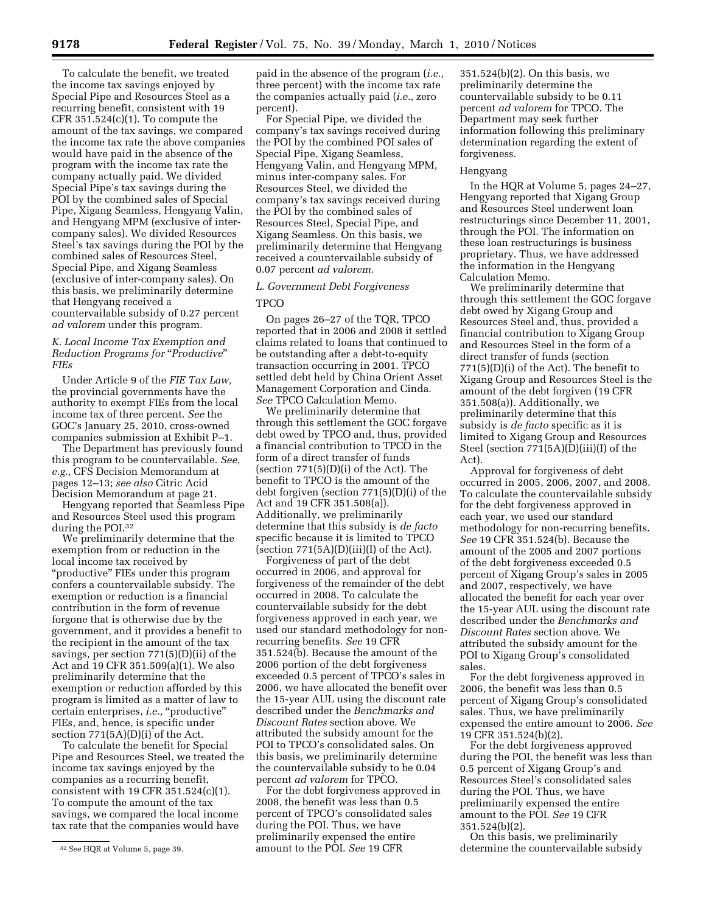To calculate the benefit, we treated the income tax savings enjoyed by Special Pipe and Resources Steel as a recurring benefit, consistent with 19 CFR  $351.524(c)(1)$ . To compute the amount of the tax savings, we compared the income tax rate the above companies would have paid in the absence of the program with the income tax rate the company actually paid. We divided Special Pipe's tax savings during the POI by the combined sales of Special Pipe, Xigang Seamless, Hengyang Valin, and Hengyang MPM (exclusive of intercompany sales). We divided Resources Steel's tax savings during the POI by the combined sales of Resources Steel, Special Pipe, and Xigang Seamless (exclusive of inter-company sales). On this basis, we preliminarily determine that Hengyang received a countervailable subsidy of 0.27 percent *ad valorem* under this program.

## *K. Local Income Tax Exemption and Reduction Programs for* ''*Productive*'' *FIEs*

Under Article 9 of the *FIE Tax Law,*  the provincial governments have the authority to exempt FIEs from the local income tax of three percent. *See* the GOC's January 25, 2010, cross-owned companies submission at Exhibit P–1.

The Department has previously found this program to be countervailable. *See, e.g.,* CFS Decision Memorandum at pages 12–13; *see also* Citric Acid Decision Memorandum at page 21.

Hengyang reported that Seamless Pipe and Resources Steel used this program during the POI.<sup>32</sup>

We preliminarily determine that the exemption from or reduction in the local income tax received by ''productive'' FIEs under this program confers a countervailable subsidy. The exemption or reduction is a financial contribution in the form of revenue forgone that is otherwise due by the government, and it provides a benefit to the recipient in the amount of the tax savings, per section 771(5)(D)(ii) of the Act and 19 CFR 351.509(a)(1). We also preliminarily determine that the exemption or reduction afforded by this program is limited as a matter of law to certain enterprises, *i.e.*, "productive" FIEs, and, hence, is specific under section 771(5A)(D)(i) of the Act.

To calculate the benefit for Special Pipe and Resources Steel, we treated the income tax savings enjoyed by the companies as a recurring benefit, consistent with 19 CFR 351.524(c)(1). To compute the amount of the tax savings, we compared the local income tax rate that the companies would have

paid in the absence of the program (*i.e.,*  three percent) with the income tax rate the companies actually paid (*i.e.,* zero percent).

For Special Pipe, we divided the company's tax savings received during the POI by the combined POI sales of Special Pipe, Xigang Seamless, Hengyang Valin, and Hengyang MPM, minus inter-company sales. For Resources Steel, we divided the company's tax savings received during the POI by the combined sales of Resources Steel, Special Pipe, and Xigang Seamless. On this basis, we preliminarily determine that Hengyang received a countervailable subsidy of 0.07 percent *ad valorem.* 

# *L. Government Debt Forgiveness*  **TPCO**

On pages 26–27 of the TQR, TPCO reported that in 2006 and 2008 it settled claims related to loans that continued to be outstanding after a debt-to-equity transaction occurring in 2001. TPCO settled debt held by China Orient Asset Management Corporation and Cinda. *See* TPCO Calculation Memo.

We preliminarily determine that through this settlement the GOC forgave debt owed by TPCO and, thus, provided a financial contribution to TPCO in the form of a direct transfer of funds (section  $771(5)(D)(i)$  of the Act). The benefit to TPCO is the amount of the debt forgiven (section 771(5)(D)(i) of the Act and 19 CFR 351.508(a)). Additionally, we preliminarily determine that this subsidy is *de facto*  specific because it is limited to TPCO (section  $771(5A)(D)(iii)(I)$  of the Act).

Forgiveness of part of the debt occurred in 2006, and approval for forgiveness of the remainder of the debt occurred in 2008. To calculate the countervailable subsidy for the debt forgiveness approved in each year, we used our standard methodology for nonrecurring benefits. *See* 19 CFR 351.524(b). Because the amount of the 2006 portion of the debt forgiveness exceeded 0.5 percent of TPCO's sales in 2006, we have allocated the benefit over the 15-year AUL using the discount rate described under the *Benchmarks and Discount Rates* section above. We attributed the subsidy amount for the POI to TPCO's consolidated sales. On this basis, we preliminarily determine the countervailable subsidy to be 0.04 percent *ad valorem* for TPCO.

For the debt forgiveness approved in 2008, the benefit was less than 0.5 percent of TPCO's consolidated sales during the POI. Thus, we have preliminarily expensed the entire amount to the POI. *See* 19 CFR

351.524(b)(2). On this basis, we preliminarily determine the countervailable subsidy to be 0.11 percent *ad valorem* for TPCO. The Department may seek further information following this preliminary determination regarding the extent of forgiveness.

#### Hengyang

In the HQR at Volume 5, pages 24–27, Hengyang reported that Xigang Group and Resources Steel underwent loan restructurings since December 11, 2001, through the POI. The information on these loan restructurings is business proprietary. Thus, we have addressed the information in the Hengyang Calculation Memo.

We preliminarily determine that through this settlement the GOC forgave debt owed by Xigang Group and Resources Steel and, thus, provided a financial contribution to Xigang Group and Resources Steel in the form of a direct transfer of funds (section  $771(5)(D)(i)$  of the Act). The benefit to Xigang Group and Resources Steel is the amount of the debt forgiven (19 CFR 351.508(a)). Additionally, we preliminarily determine that this subsidy is *de facto* specific as it is limited to Xigang Group and Resources Steel (section 771(5A)(D)(iii)(I) of the Act).

Approval for forgiveness of debt occurred in 2005, 2006, 2007, and 2008. To calculate the countervailable subsidy for the debt forgiveness approved in each year, we used our standard methodology for non-recurring benefits. *See* 19 CFR 351.524(b). Because the amount of the 2005 and 2007 portions of the debt forgiveness exceeded 0.5 percent of Xigang Group's sales in 2005 and 2007, respectively, we have allocated the benefit for each year over the 15-year AUL using the discount rate described under the *Benchmarks and Discount Rates* section above. We attributed the subsidy amount for the POI to Xigang Group's consolidated sales.

For the debt forgiveness approved in 2006, the benefit was less than 0.5 percent of Xigang Group's consolidated sales. Thus, we have preliminarily expensed the entire amount to 2006. *See*  19 CFR 351.524(b)(2).

For the debt forgiveness approved during the POI, the benefit was less than 0.5 percent of Xigang Group's and Resources Steel's consolidated sales during the POI. Thus, we have preliminarily expensed the entire amount to the POI. *See* 19 CFR 351.524(b)(2).

On this basis, we preliminarily determine the countervailable subsidy

<sup>32</sup>*See* HQR at Volume 5, page 39.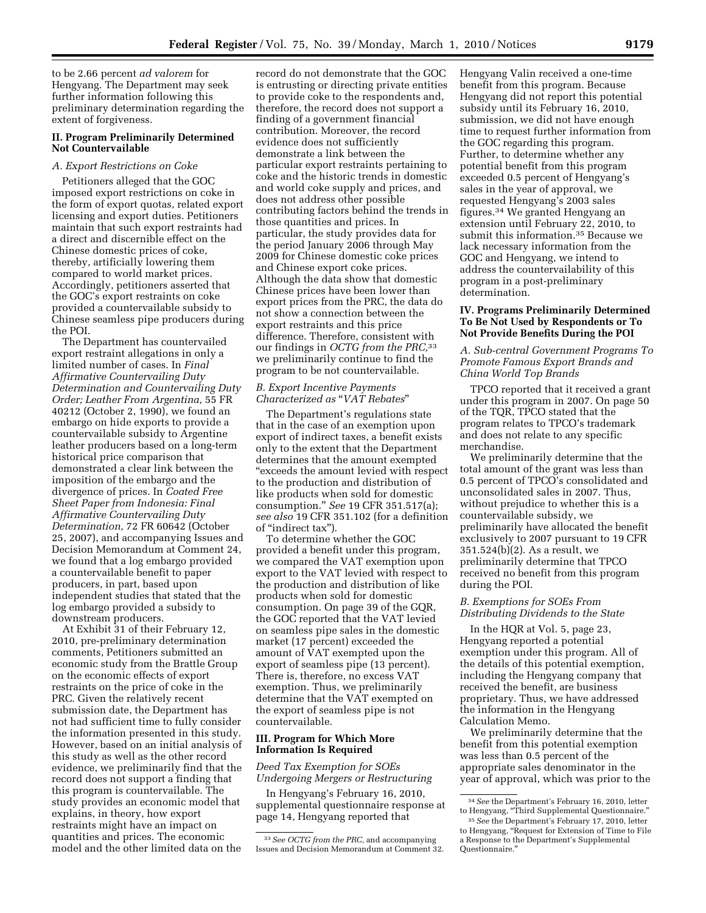to be 2.66 percent *ad valorem* for Hengyang. The Department may seek further information following this preliminary determination regarding the extent of forgiveness.

## **II. Program Preliminarily Determined Not Countervailable**

#### *A. Export Restrictions on Coke*

Petitioners alleged that the GOC imposed export restrictions on coke in the form of export quotas, related export licensing and export duties. Petitioners maintain that such export restraints had a direct and discernible effect on the Chinese domestic prices of coke, thereby, artificially lowering them compared to world market prices. Accordingly, petitioners asserted that the GOC's export restraints on coke provided a countervailable subsidy to Chinese seamless pipe producers during the POI.

The Department has countervailed export restraint allegations in only a limited number of cases. In *Final Affirmative Countervailing Duty Determination and Countervailing Duty Order; Leather From Argentina,* 55 FR 40212 (October 2, 1990), we found an embargo on hide exports to provide a countervailable subsidy to Argentine leather producers based on a long-term historical price comparison that demonstrated a clear link between the imposition of the embargo and the divergence of prices. In *Coated Free Sheet Paper from Indonesia: Final Affirmative Countervailing Duty Determination,* 72 FR 60642 (October 25, 2007), and accompanying Issues and Decision Memorandum at Comment 24, we found that a log embargo provided a countervailable benefit to paper producers, in part, based upon independent studies that stated that the log embargo provided a subsidy to downstream producers.

At Exhibit 31 of their February 12, 2010, pre-preliminary determination comments, Petitioners submitted an economic study from the Brattle Group on the economic effects of export restraints on the price of coke in the PRC. Given the relatively recent submission date, the Department has not had sufficient time to fully consider the information presented in this study. However, based on an initial analysis of this study as well as the other record evidence, we preliminarily find that the record does not support a finding that this program is countervailable. The study provides an economic model that explains, in theory, how export restraints might have an impact on quantities and prices. The economic model and the other limited data on the

record do not demonstrate that the GOC is entrusting or directing private entities to provide coke to the respondents and, therefore, the record does not support a finding of a government financial contribution. Moreover, the record evidence does not sufficiently demonstrate a link between the particular export restraints pertaining to coke and the historic trends in domestic and world coke supply and prices, and does not address other possible contributing factors behind the trends in those quantities and prices. In particular, the study provides data for the period January 2006 through May 2009 for Chinese domestic coke prices and Chinese export coke prices. Although the data show that domestic Chinese prices have been lower than export prices from the PRC, the data do not show a connection between the export restraints and this price difference. Therefore, consistent with our findings in *OCTG from the PRC,*33 we preliminarily continue to find the program to be not countervailable.

## *B. Export Incentive Payments Characterized as* ''*VAT Rebates*''

The Department's regulations state that in the case of an exemption upon export of indirect taxes, a benefit exists only to the extent that the Department determines that the amount exempted ''exceeds the amount levied with respect to the production and distribution of like products when sold for domestic consumption.'' *See* 19 CFR 351.517(a); *see also* 19 CFR 351.102 (for a definition of ''indirect tax'').

To determine whether the GOC provided a benefit under this program, we compared the VAT exemption upon export to the VAT levied with respect to the production and distribution of like products when sold for domestic consumption. On page 39 of the GQR, the GOC reported that the VAT levied on seamless pipe sales in the domestic market (17 percent) exceeded the amount of VAT exempted upon the export of seamless pipe (13 percent). There is, therefore, no excess VAT exemption. Thus, we preliminarily determine that the VAT exempted on the export of seamless pipe is not countervailable.

#### **III. Program for Which More Information Is Required**

*Deed Tax Exemption for SOEs Undergoing Mergers or Restructuring* 

In Hengyang's February 16, 2010, supplemental questionnaire response at page 14, Hengyang reported that

Hengyang Valin received a one-time benefit from this program. Because Hengyang did not report this potential subsidy until its February 16, 2010, submission, we did not have enough time to request further information from the GOC regarding this program. Further, to determine whether any potential benefit from this program exceeded 0.5 percent of Hengyang's sales in the year of approval, we requested Hengyang's 2003 sales figures.34 We granted Hengyang an extension until February 22, 2010, to submit this information.35 Because we lack necessary information from the GOC and Hengyang, we intend to address the countervailability of this program in a post-preliminary determination.

## **IV. Programs Preliminarily Determined To Be Not Used by Respondents or To Not Provide Benefits During the POI**

*A. Sub-central Government Programs To Promote Famous Export Brands and China World Top Brands* 

TPCO reported that it received a grant under this program in 2007. On page 50 of the TQR, TPCO stated that the program relates to TPCO's trademark and does not relate to any specific merchandise.

We preliminarily determine that the total amount of the grant was less than 0.5 percent of TPCO's consolidated and unconsolidated sales in 2007. Thus, without prejudice to whether this is a countervailable subsidy, we preliminarily have allocated the benefit exclusively to 2007 pursuant to 19 CFR 351.524(b)(2). As a result, we preliminarily determine that TPCO received no benefit from this program during the POI.

## *B. Exemptions for SOEs From Distributing Dividends to the State*

In the HQR at Vol. 5, page 23, Hengyang reported a potential exemption under this program. All of the details of this potential exemption, including the Hengyang company that received the benefit, are business proprietary. Thus, we have addressed the information in the Hengyang Calculation Memo.

We preliminarily determine that the benefit from this potential exemption was less than 0.5 percent of the appropriate sales denominator in the year of approval, which was prior to the

<sup>33</sup>*See OCTG from the PRC,* and accompanying Issues and Decision Memorandum at Comment 32.

<sup>34</sup>*See* the Department's February 16, 2010, letter to Hengyang, ''Third Supplemental Questionnaire.''

<sup>35</sup>*See* the Department's February 17, 2010, letter to Hengyang, ''Request for Extension of Time to File a Response to the Department's Supplemental Questionnaire.''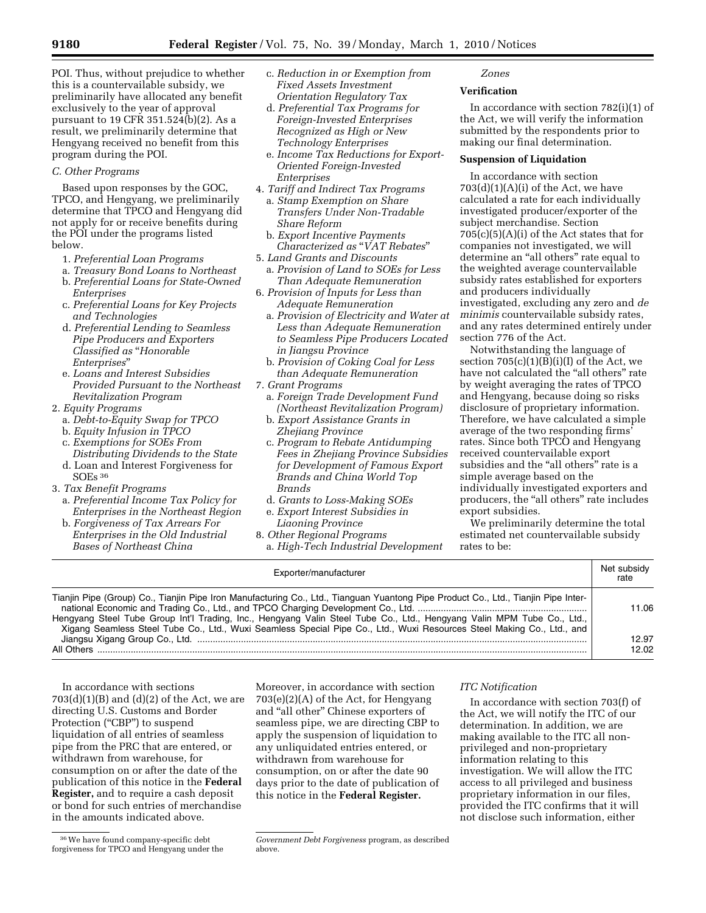POI. Thus, without prejudice to whether this is a countervailable subsidy, we preliminarily have allocated any benefit exclusively to the year of approval pursuant to 19 CFR 351.524(b)(2). As a result, we preliminarily determine that Hengyang received no benefit from this program during the POI.

# *C. Other Programs*

Based upon responses by the GOC, TPCO, and Hengyang, we preliminarily determine that TPCO and Hengyang did not apply for or receive benefits during the POI under the programs listed below.

- 1. *Preferential Loan Programs*
- a. *Treasury Bond Loans to Northeast*
- b. *Preferential Loans for State-Owned Enterprises*
- c. *Preferential Loans for Key Projects and Technologies*
- d. *Preferential Lending to Seamless Pipe Producers and Exporters Classified as* ''*Honorable Enterprises*''
- e. *Loans and Interest Subsidies Provided Pursuant to the Northeast Revitalization Program*
- 2. *Equity Programs* 
	- a. *Debt-to-Equity Swap for TPCO*
	- b. *Equity Infusion in TPCO*
	- c. *Exemptions for SOEs From*
	- *Distributing Dividends to the State*  d. Loan and Interest Forgiveness for
- SOEs 36
- 3. *Tax Benefit Programs*  a. *Preferential Income Tax Policy for* 
	- *Enterprises in the Northeast Region*  b. *Forgiveness of Tax Arrears For*
	- *Enterprises in the Old Industrial Bases of Northeast China*
- c. *Reduction in or Exemption from Fixed Assets Investment Orientation Regulatory Tax*
- d. *Preferential Tax Programs for Foreign-Invested Enterprises Recognized as High or New Technology Enterprises*
- e. *Income Tax Reductions for Export-Oriented Foreign-Invested Enterprises*
- 4. *Tariff and Indirect Tax Programs*  a. *Stamp Exemption on Share Transfers Under Non-Tradable Share Reform* 
	- b. *Export Incentive Payments Characterized as* ''*VAT Rebates*''
- 5. *Land Grants and Discounts*
- a. *Provision of Land to SOEs for Less Than Adequate Remuneration*
- 6. *Provision of Inputs for Less than Adequate Remuneration* 
	- a. *Provision of Electricity and Water at Less than Adequate Remuneration to Seamless Pipe Producers Located in Jiangsu Province*
	- b. *Provision of Coking Coal for Less than Adequate Remuneration*
- 7. *Grant Programs* 
	- a. *Foreign Trade Development Fund (Northeast Revitalization Program)*
	- b. *Export Assistance Grants in Zhejiang Province*
	- c. *Program to Rebate Antidumping Fees in Zhejiang Province Subsidies for Development of Famous Export Brands and China World Top Brands*
	- d. *Grants to Loss-Making SOEs*
	- e. *Export Interest Subsidies in Liaoning Province*
- 8. *Other Regional Programs*
- a. *High-Tech Industrial Development*

## *Zones*

## **Verification**

In accordance with section 782(i)(1) of the Act, we will verify the information submitted by the respondents prior to making our final determination.

## **Suspension of Liquidation**

In accordance with section  $703(d)(1)(A)(i)$  of the Act, we have calculated a rate for each individually investigated producer/exporter of the subject merchandise. Section  $705(c)(5)(A)(i)$  of the Act states that for companies not investigated, we will determine an ''all others'' rate equal to the weighted average countervailable subsidy rates established for exporters and producers individually investigated, excluding any zero and *de minimis* countervailable subsidy rates, and any rates determined entirely under section 776 of the Act.

Notwithstanding the language of section  $705(c)(1)(B)(i)(I)$  of the Act, we have not calculated the "all others" rate by weight averaging the rates of TPCO and Hengyang, because doing so risks disclosure of proprietary information. Therefore, we have calculated a simple average of the two responding firms' rates. Since both TPCO and Hengyang received countervailable export subsidies and the "all others" rate is a simple average based on the individually investigated exporters and producers, the "all others" rate includes export subsidies.

We preliminarily determine the total estimated net countervailable subsidy rates to be:

In accordance with section 703(f) of the Act, we will notify the ITC of our determination. In addition, we are making available to the ITC all nonprivileged and non-proprietary information relating to this

investigation. We will allow the ITC access to all privileged and business proprietary information in our files, provided the ITC confirms that it will not disclose such information, either

*ITC Notification* 

| Exporter/manufacturer                                                                                                                                                                                                                                                                                                                                                                  | Net subsidy<br>rate |
|----------------------------------------------------------------------------------------------------------------------------------------------------------------------------------------------------------------------------------------------------------------------------------------------------------------------------------------------------------------------------------------|---------------------|
| Tianjin Pipe (Group) Co., Tianjin Pipe Iron Manufacturing Co., Ltd., Tianguan Yuantong Pipe Product Co., Ltd., Tianjin Pipe Inter-<br>Hengyang Steel Tube Group Int'l Trading, Inc., Hengyang Valin Steel Tube Co., Ltd., Hengyang Valin MPM Tube Co., Ltd.,<br>Xigang Seamless Steel Tube Co., Ltd., Wuxi Seamless Special Pipe Co., Ltd., Wuxi Resources Steel Making Co., Ltd., and | 11.06               |
| All Others                                                                                                                                                                                                                                                                                                                                                                             | 12.97<br>12.02      |

In accordance with sections  $703(d)(1)(B)$  and  $(d)(2)$  of the Act, we are directing U.S. Customs and Border Protection ("CBP") to suspend liquidation of all entries of seamless pipe from the PRC that are entered, or withdrawn from warehouse, for consumption on or after the date of the publication of this notice in the **Federal Register,** and to require a cash deposit or bond for such entries of merchandise in the amounts indicated above.

Moreover, in accordance with section  $703(e)(2)(A)$  of the Act, for Hengyang and ''all other'' Chinese exporters of seamless pipe, we are directing CBP to apply the suspension of liquidation to any unliquidated entries entered, or withdrawn from warehouse for consumption, on or after the date 90 days prior to the date of publication of this notice in the **Federal Register.** 

<sup>36</sup>We have found company-specific debt forgiveness for TPCO and Hengyang under the

*Government Debt Forgiveness* program, as described above.